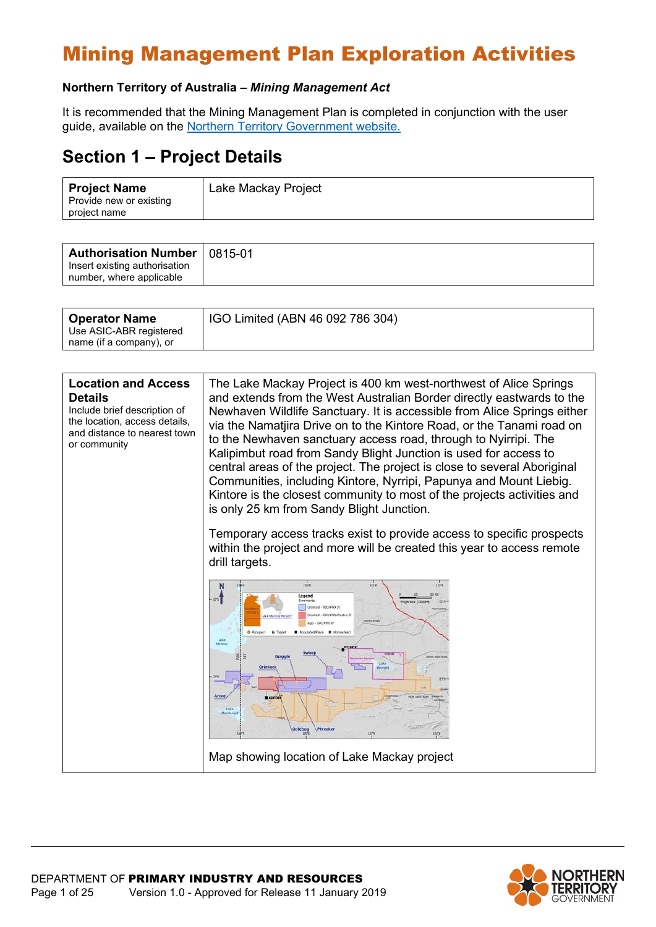#### **Northern Territory of Australia –** *Mining Management Act*

It is recommended that the Mining Management Plan is completed in conjunction with the user guide, available on the [Northern Territory Government website.](https://nt.gov.au/industry/mining-and-petroleum/mining-activities/develop-a-mining-management-plan)

### **Section 1 – Project Details**

| <b>Project Name</b><br>Provide new or existing | Lake Mackay Project |
|------------------------------------------------|---------------------|
| project name                                   |                     |

| <b>Authorisation Number   0815-01</b>                     |  |
|-----------------------------------------------------------|--|
| Insert existing authorisation<br>number, where applicable |  |

| <b>Operator Name</b><br>Use ASIC-ABR registered<br>name (if a company), or | IGO Limited (ABN 46 092 786 304) |
|----------------------------------------------------------------------------|----------------------------------|
|                                                                            |                                  |

| <b>Location and Access</b><br><b>Details</b><br>Include brief description of<br>the location, access details,<br>and distance to nearest town<br>or community | The Lake Mackay Project is 400 km west-northwest of Alice Springs<br>and extends from the West Australian Border directly eastwards to the<br>Newhaven Wildlife Sanctuary. It is accessible from Alice Springs either<br>via the Namatjira Drive on to the Kintore Road, or the Tanami road on<br>to the Newhaven sanctuary access road, through to Nyirripi. The<br>Kalipimbut road from Sandy Blight Junction is used for access to<br>central areas of the project. The project is close to several Aboriginal<br>Communities, including Kintore, Nyrripi, Papunya and Mount Liebig.<br>Kintore is the closest community to most of the projects activities and<br>is only 25 km from Sandy Blight Junction. |
|---------------------------------------------------------------------------------------------------------------------------------------------------------------|-----------------------------------------------------------------------------------------------------------------------------------------------------------------------------------------------------------------------------------------------------------------------------------------------------------------------------------------------------------------------------------------------------------------------------------------------------------------------------------------------------------------------------------------------------------------------------------------------------------------------------------------------------------------------------------------------------------------|
|                                                                                                                                                               | Temporary access tracks exist to provide access to specific prospects<br>within the project and more will be created this year to access remote<br>drill targets.                                                                                                                                                                                                                                                                                                                                                                                                                                                                                                                                               |
|                                                                                                                                                               | <b>LIOTE</b><br>13196<br>132°E<br>Legend<br>$-225$<br>miertinn: (GDA94)<br>ranted - IGO/PRX Ju<br>ranted - SOD/PRX/Castle 2<br>ke Mackay Pro<br>Lake<br><b>Afachay</b><br>Grapp<br>Grimlock<br>Arcee<br><b>B</b> KINTOR<br><b>Lake</b><br>Goldbug<br>Phreaker                                                                                                                                                                                                                                                                                                                                                                                                                                                   |
|                                                                                                                                                               | Map showing location of Lake Mackay project                                                                                                                                                                                                                                                                                                                                                                                                                                                                                                                                                                                                                                                                     |

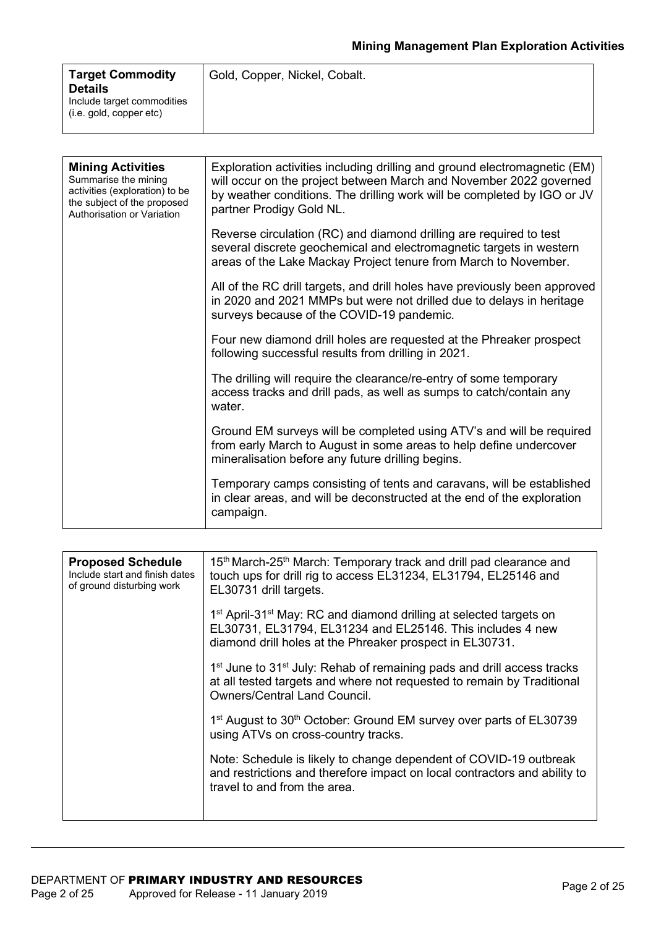| <b>Target Commodity</b><br><b>Details</b>             | Gold, Copper, Nickel, Cobalt. |
|-------------------------------------------------------|-------------------------------|
| Include target commodities<br>(i.e. gold, copper etc) |                               |

| <b>Mining Activities</b><br>Summarise the mining<br>activities (exploration) to be<br>the subject of the proposed<br>Authorisation or Variation | Exploration activities including drilling and ground electromagnetic (EM)<br>will occur on the project between March and November 2022 governed<br>by weather conditions. The drilling work will be completed by IGO or JV<br>partner Prodigy Gold NL. |
|-------------------------------------------------------------------------------------------------------------------------------------------------|--------------------------------------------------------------------------------------------------------------------------------------------------------------------------------------------------------------------------------------------------------|
|                                                                                                                                                 | Reverse circulation (RC) and diamond drilling are required to test<br>several discrete geochemical and electromagnetic targets in western<br>areas of the Lake Mackay Project tenure from March to November.                                           |
|                                                                                                                                                 | All of the RC drill targets, and drill holes have previously been approved<br>in 2020 and 2021 MMPs but were not drilled due to delays in heritage<br>surveys because of the COVID-19 pandemic.                                                        |
|                                                                                                                                                 | Four new diamond drill holes are requested at the Phreaker prospect<br>following successful results from drilling in 2021.                                                                                                                             |
|                                                                                                                                                 | The drilling will require the clearance/re-entry of some temporary<br>access tracks and drill pads, as well as sumps to catch/contain any<br>water.                                                                                                    |
|                                                                                                                                                 | Ground EM surveys will be completed using ATV's and will be required<br>from early March to August in some areas to help define undercover<br>mineralisation before any future drilling begins.                                                        |
|                                                                                                                                                 | Temporary camps consisting of tents and caravans, will be established<br>in clear areas, and will be deconstructed at the end of the exploration<br>campaign.                                                                                          |

| <b>Proposed Schedule</b><br>Include start and finish dates<br>of ground disturbing work | 15 <sup>th</sup> March-25 <sup>th</sup> March: Temporary track and drill pad clearance and<br>touch ups for drill rig to access EL31234, EL31794, EL25146 and<br>EL30731 drill targets.                              |
|-----------------------------------------------------------------------------------------|----------------------------------------------------------------------------------------------------------------------------------------------------------------------------------------------------------------------|
|                                                                                         | 1 <sup>st</sup> April-31 <sup>st</sup> May: RC and diamond drilling at selected targets on<br>EL30731, EL31794, EL31234 and EL25146. This includes 4 new<br>diamond drill holes at the Phreaker prospect in EL30731. |
|                                                                                         | 1 <sup>st</sup> June to 31 <sup>st</sup> July: Rehab of remaining pads and drill access tracks<br>at all tested targets and where not requested to remain by Traditional<br><b>Owners/Central Land Council.</b>      |
|                                                                                         | 1 <sup>st</sup> August to 30 <sup>th</sup> October: Ground EM survey over parts of EL30739<br>using ATVs on cross-country tracks.                                                                                    |
|                                                                                         | Note: Schedule is likely to change dependent of COVID-19 outbreak<br>and restrictions and therefore impact on local contractors and ability to<br>travel to and from the area.                                       |
|                                                                                         |                                                                                                                                                                                                                      |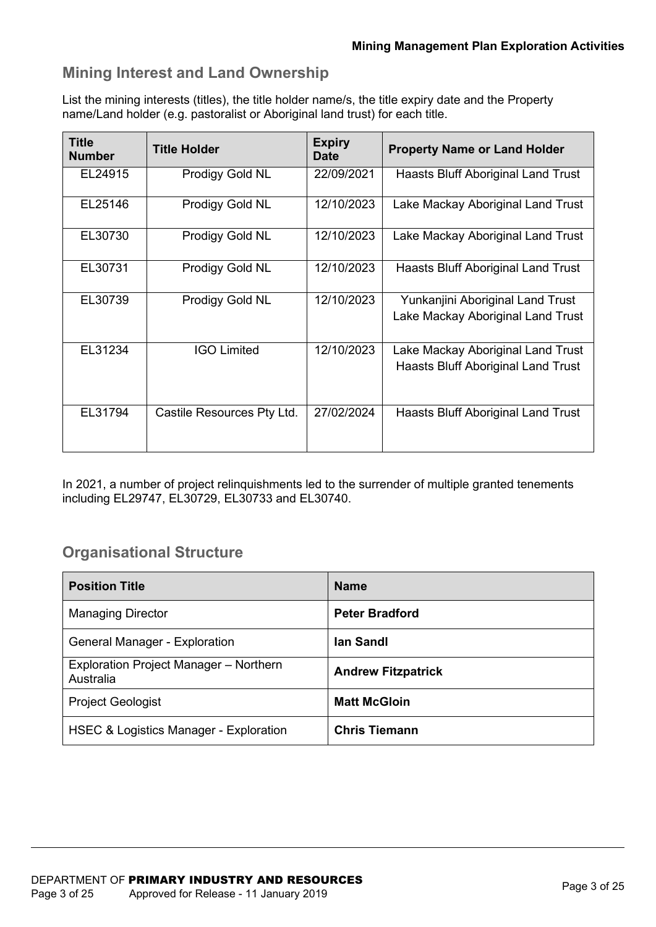#### **Mining Interest and Land Ownership**

List the mining interests (titles), the title holder name/s, the title expiry date and the Property name/Land holder (e.g. pastoralist or Aboriginal land trust) for each title.

| <b>Title</b><br><b>Number</b> | <b>Title Holder</b>        | <b>Expiry</b><br><b>Date</b> | <b>Property Name or Land Holder</b>                                     |
|-------------------------------|----------------------------|------------------------------|-------------------------------------------------------------------------|
| EL24915                       | Prodigy Gold NL            | 22/09/2021                   | Haasts Bluff Aboriginal Land Trust                                      |
| EL25146                       | Prodigy Gold NL            | 12/10/2023                   | Lake Mackay Aboriginal Land Trust                                       |
| EL30730                       | Prodigy Gold NL            | 12/10/2023                   | Lake Mackay Aboriginal Land Trust                                       |
| EL30731                       | Prodigy Gold NL            | 12/10/2023                   | Haasts Bluff Aboriginal Land Trust                                      |
| EL30739                       | Prodigy Gold NL            | 12/10/2023                   | Yunkanjini Aboriginal Land Trust<br>Lake Mackay Aboriginal Land Trust   |
| EL31234                       | <b>IGO Limited</b>         | 12/10/2023                   | Lake Mackay Aboriginal Land Trust<br>Haasts Bluff Aboriginal Land Trust |
| EL31794                       | Castile Resources Pty Ltd. | 27/02/2024                   | Haasts Bluff Aboriginal Land Trust                                      |

In 2021, a number of project relinquishments led to the surrender of multiple granted tenements including EL29747, EL30729, EL30733 and EL30740.

#### **Organisational Structure**

| <b>Position Title</b>                               | <b>Name</b>               |
|-----------------------------------------------------|---------------------------|
| <b>Managing Director</b>                            | <b>Peter Bradford</b>     |
| <b>General Manager - Exploration</b>                | lan Sandl                 |
| Exploration Project Manager - Northern<br>Australia | <b>Andrew Fitzpatrick</b> |
| <b>Project Geologist</b>                            | <b>Matt McGloin</b>       |
| <b>HSEC &amp; Logistics Manager - Exploration</b>   | <b>Chris Tiemann</b>      |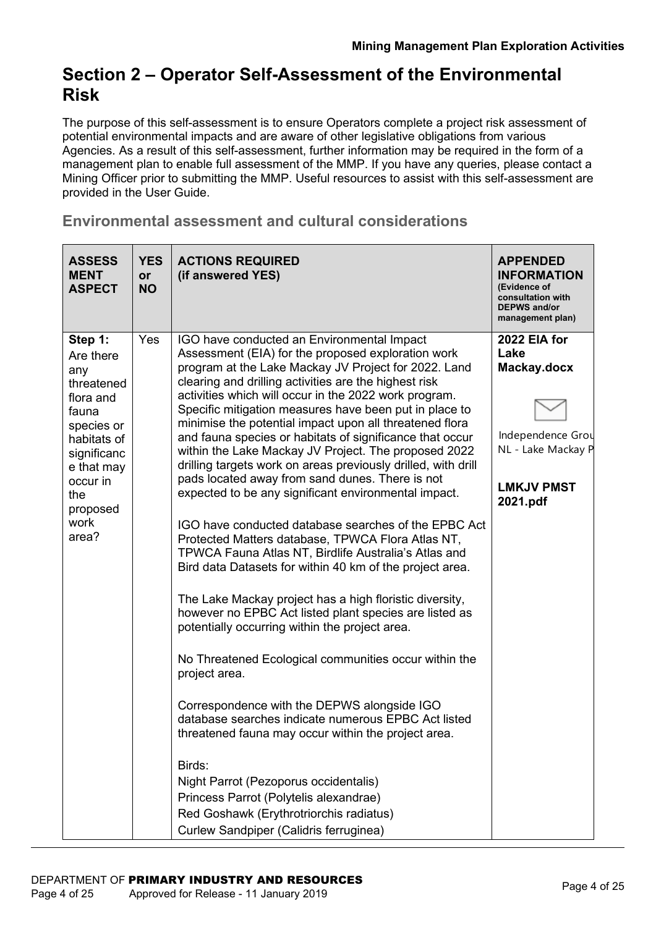### **Section 2 – Operator Self-Assessment of the Environmental Risk**

The purpose of this self-assessment is to ensure Operators complete a project risk assessment of potential environmental impacts and are aware of other legislative obligations from various Agencies. As a result of this self-assessment, further information may be required in the form of a management plan to enable full assessment of the MMP. If you have any queries, please contact a Mining Officer prior to submitting the MMP. Useful resources to assist with this self-assessment are provided in the User Guide.

#### **Environmental assessment and cultural considerations**

| <b>ASSESS</b><br><b>MENT</b><br><b>ASPECT</b>                                                                                                                             | <b>YES</b><br>or<br><b>NO</b> | <b>ACTIONS REQUIRED</b><br>(if answered YES)                                                                                                                                                                                                                                                                                                                                                                                                                                                                                                                                                                                                                                                                                                                                                                                                                                                                                                                                                                                                                                                                                                                                                                                                                                                                                                                                                                                                                                                                                    | <b>APPENDED</b><br><b>INFORMATION</b><br>(Evidence of<br>consultation with<br><b>DEPWS and/or</b><br>management plan) |
|---------------------------------------------------------------------------------------------------------------------------------------------------------------------------|-------------------------------|---------------------------------------------------------------------------------------------------------------------------------------------------------------------------------------------------------------------------------------------------------------------------------------------------------------------------------------------------------------------------------------------------------------------------------------------------------------------------------------------------------------------------------------------------------------------------------------------------------------------------------------------------------------------------------------------------------------------------------------------------------------------------------------------------------------------------------------------------------------------------------------------------------------------------------------------------------------------------------------------------------------------------------------------------------------------------------------------------------------------------------------------------------------------------------------------------------------------------------------------------------------------------------------------------------------------------------------------------------------------------------------------------------------------------------------------------------------------------------------------------------------------------------|-----------------------------------------------------------------------------------------------------------------------|
| Step 1:<br>Are there<br>any<br>threatened<br>flora and<br>fauna<br>species or<br>habitats of<br>significanc<br>e that may<br>occur in<br>the<br>proposed<br>work<br>area? | Yes                           | IGO have conducted an Environmental Impact<br>Assessment (EIA) for the proposed exploration work<br>program at the Lake Mackay JV Project for 2022. Land<br>clearing and drilling activities are the highest risk<br>activities which will occur in the 2022 work program.<br>Specific mitigation measures have been put in place to<br>minimise the potential impact upon all threatened flora<br>and fauna species or habitats of significance that occur<br>within the Lake Mackay JV Project. The proposed 2022<br>drilling targets work on areas previously drilled, with drill<br>pads located away from sand dunes. There is not<br>expected to be any significant environmental impact.<br>IGO have conducted database searches of the EPBC Act<br>Protected Matters database, TPWCA Flora Atlas NT,<br>TPWCA Fauna Atlas NT, Birdlife Australia's Atlas and<br>Bird data Datasets for within 40 km of the project area.<br>The Lake Mackay project has a high floristic diversity,<br>however no EPBC Act listed plant species are listed as<br>potentially occurring within the project area.<br>No Threatened Ecological communities occur within the<br>project area.<br>Correspondence with the DEPWS alongside IGO<br>database searches indicate numerous EPBC Act listed<br>threatened fauna may occur within the project area<br>Birds:<br>Night Parrot (Pezoporus occidentalis)<br>Princess Parrot (Polytelis alexandrae)<br>Red Goshawk (Erythrotriorchis radiatus)<br>Curlew Sandpiper (Calidris ferruginea) | 2022 EIA for<br>Lake<br>Mackay.docx<br>Independence Grou<br>NL - Lake Mackay P<br><b>LMKJV PMST</b><br>2021.pdf       |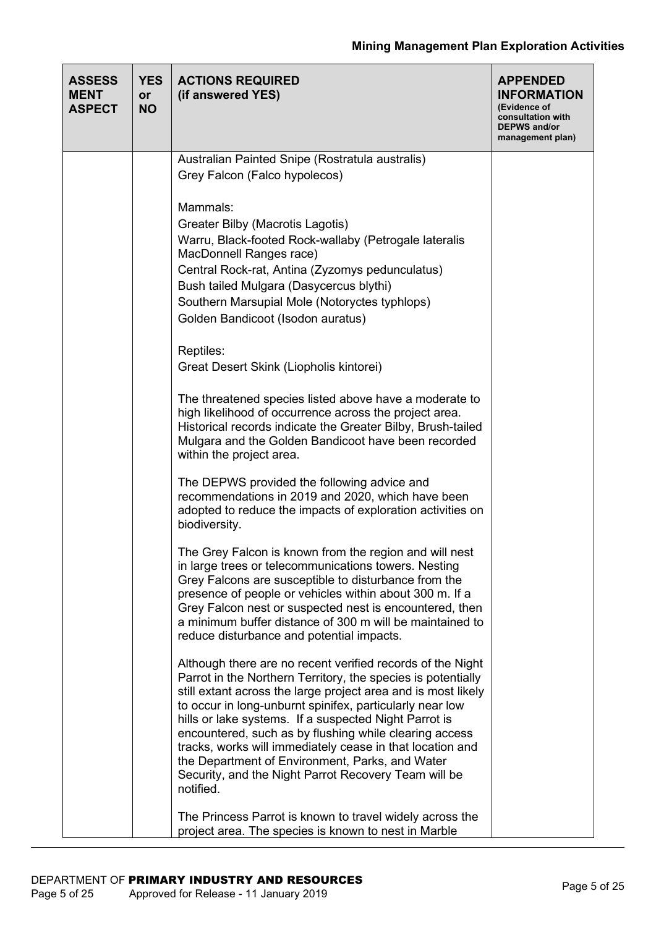| <b>ASSESS</b><br><b>MENT</b><br><b>ASPECT</b> | <b>YES</b><br><b>or</b><br><b>NO</b> | <b>ACTIONS REQUIRED</b><br>(if answered YES)                                                                                                                                                                                                                                                                                                                                                                                                                                                                                                                    | <b>APPENDED</b><br><b>INFORMATION</b><br>(Evidence of<br>consultation with<br><b>DEPWS and/or</b><br>management plan) |
|-----------------------------------------------|--------------------------------------|-----------------------------------------------------------------------------------------------------------------------------------------------------------------------------------------------------------------------------------------------------------------------------------------------------------------------------------------------------------------------------------------------------------------------------------------------------------------------------------------------------------------------------------------------------------------|-----------------------------------------------------------------------------------------------------------------------|
|                                               |                                      | Australian Painted Snipe (Rostratula australis)                                                                                                                                                                                                                                                                                                                                                                                                                                                                                                                 |                                                                                                                       |
|                                               |                                      | Grey Falcon (Falco hypolecos)                                                                                                                                                                                                                                                                                                                                                                                                                                                                                                                                   |                                                                                                                       |
|                                               |                                      | Mammals:<br>Greater Bilby (Macrotis Lagotis)<br>Warru, Black-footed Rock-wallaby (Petrogale lateralis<br>MacDonnell Ranges race)<br>Central Rock-rat, Antina (Zyzomys pedunculatus)<br>Bush tailed Mulgara (Dasycercus blythi)<br>Southern Marsupial Mole (Notoryctes typhlops)<br>Golden Bandicoot (Isodon auratus)                                                                                                                                                                                                                                            |                                                                                                                       |
|                                               |                                      | Reptiles:<br>Great Desert Skink (Liopholis kintorei)                                                                                                                                                                                                                                                                                                                                                                                                                                                                                                            |                                                                                                                       |
|                                               |                                      | The threatened species listed above have a moderate to<br>high likelihood of occurrence across the project area.<br>Historical records indicate the Greater Bilby, Brush-tailed<br>Mulgara and the Golden Bandicoot have been recorded<br>within the project area.                                                                                                                                                                                                                                                                                              |                                                                                                                       |
|                                               |                                      | The DEPWS provided the following advice and<br>recommendations in 2019 and 2020, which have been<br>adopted to reduce the impacts of exploration activities on<br>biodiversity.                                                                                                                                                                                                                                                                                                                                                                                 |                                                                                                                       |
|                                               |                                      | The Grey Falcon is known from the region and will nest<br>in large trees or telecommunications towers. Nesting<br>Grey Falcons are susceptible to disturbance from the<br>presence of people or vehicles within about 300 m. If a<br>Grey Falcon nest or suspected nest is encountered, then<br>a minimum buffer distance of 300 m will be maintained to<br>reduce disturbance and potential impacts.                                                                                                                                                           |                                                                                                                       |
|                                               |                                      | Although there are no recent verified records of the Night<br>Parrot in the Northern Territory, the species is potentially<br>still extant across the large project area and is most likely<br>to occur in long-unburnt spinifex, particularly near low<br>hills or lake systems. If a suspected Night Parrot is<br>encountered, such as by flushing while clearing access<br>tracks, works will immediately cease in that location and<br>the Department of Environment, Parks, and Water<br>Security, and the Night Parrot Recovery Team will be<br>notified. |                                                                                                                       |
|                                               |                                      | The Princess Parrot is known to travel widely across the<br>project area. The species is known to nest in Marble                                                                                                                                                                                                                                                                                                                                                                                                                                                |                                                                                                                       |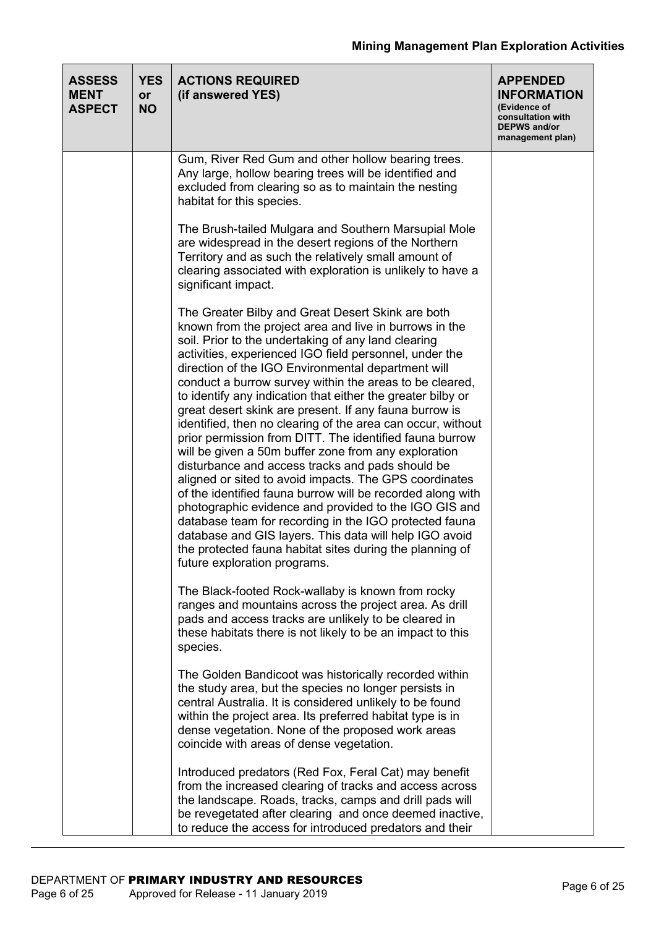| <b>ASSESS</b><br><b>MENT</b><br><b>ASPECT</b> | <b>YES</b><br><b>or</b><br><b>NO</b> | <b>ACTIONS REQUIRED</b><br>(if answered YES)                                                                                                                                                                                                                                                                                                                                                                                                                                                                                                                                                                                                                                                                                                                                                                                                                                                                                                                                                                                                                                                                  | <b>APPENDED</b><br><b>INFORMATION</b><br>(Evidence of<br>consultation with<br><b>DEPWS and/or</b><br>management plan) |
|-----------------------------------------------|--------------------------------------|---------------------------------------------------------------------------------------------------------------------------------------------------------------------------------------------------------------------------------------------------------------------------------------------------------------------------------------------------------------------------------------------------------------------------------------------------------------------------------------------------------------------------------------------------------------------------------------------------------------------------------------------------------------------------------------------------------------------------------------------------------------------------------------------------------------------------------------------------------------------------------------------------------------------------------------------------------------------------------------------------------------------------------------------------------------------------------------------------------------|-----------------------------------------------------------------------------------------------------------------------|
|                                               |                                      | Gum, River Red Gum and other hollow bearing trees.<br>Any large, hollow bearing trees will be identified and<br>excluded from clearing so as to maintain the nesting<br>habitat for this species.                                                                                                                                                                                                                                                                                                                                                                                                                                                                                                                                                                                                                                                                                                                                                                                                                                                                                                             |                                                                                                                       |
|                                               |                                      | The Brush-tailed Mulgara and Southern Marsupial Mole<br>are widespread in the desert regions of the Northern<br>Territory and as such the relatively small amount of<br>clearing associated with exploration is unlikely to have a<br>significant impact.                                                                                                                                                                                                                                                                                                                                                                                                                                                                                                                                                                                                                                                                                                                                                                                                                                                     |                                                                                                                       |
|                                               |                                      | The Greater Bilby and Great Desert Skink are both<br>known from the project area and live in burrows in the<br>soil. Prior to the undertaking of any land clearing<br>activities, experienced IGO field personnel, under the<br>direction of the IGO Environmental department will<br>conduct a burrow survey within the areas to be cleared,<br>to identify any indication that either the greater bilby or<br>great desert skink are present. If any fauna burrow is<br>identified, then no clearing of the area can occur, without<br>prior permission from DITT. The identified fauna burrow<br>will be given a 50m buffer zone from any exploration<br>disturbance and access tracks and pads should be<br>aligned or sited to avoid impacts. The GPS coordinates<br>of the identified fauna burrow will be recorded along with<br>photographic evidence and provided to the IGO GIS and<br>database team for recording in the IGO protected fauna<br>database and GIS layers. This data will help IGO avoid<br>the protected fauna habitat sites during the planning of<br>future exploration programs. |                                                                                                                       |
|                                               |                                      | The Black-footed Rock-wallaby is known from rocky<br>ranges and mountains across the project area. As drill<br>pads and access tracks are unlikely to be cleared in<br>these habitats there is not likely to be an impact to this<br>species.                                                                                                                                                                                                                                                                                                                                                                                                                                                                                                                                                                                                                                                                                                                                                                                                                                                                 |                                                                                                                       |
|                                               |                                      | The Golden Bandicoot was historically recorded within<br>the study area, but the species no longer persists in<br>central Australia. It is considered unlikely to be found<br>within the project area. Its preferred habitat type is in<br>dense vegetation. None of the proposed work areas<br>coincide with areas of dense vegetation.                                                                                                                                                                                                                                                                                                                                                                                                                                                                                                                                                                                                                                                                                                                                                                      |                                                                                                                       |
|                                               |                                      | Introduced predators (Red Fox, Feral Cat) may benefit<br>from the increased clearing of tracks and access across<br>the landscape. Roads, tracks, camps and drill pads will<br>be revegetated after clearing and once deemed inactive,<br>to reduce the access for introduced predators and their                                                                                                                                                                                                                                                                                                                                                                                                                                                                                                                                                                                                                                                                                                                                                                                                             |                                                                                                                       |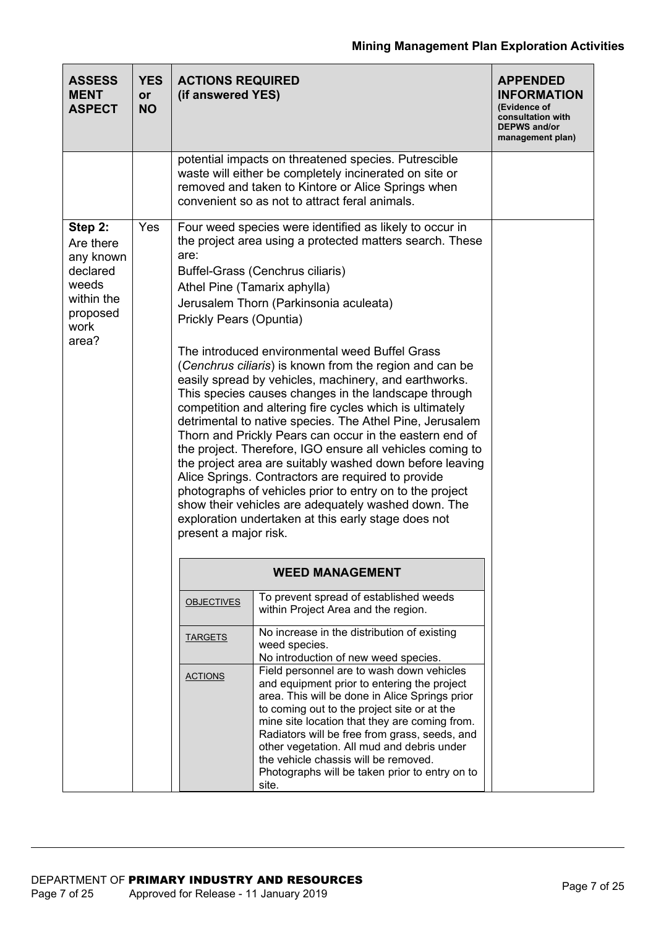| <b>ASSESS</b><br><b>MENT</b><br><b>ASPECT</b>                                                     | <b>YES</b><br><b>or</b><br><b>NO</b> | <b>ACTIONS REQUIRED</b><br>(if answered YES) |                                                                                                                                                                                                                                                                                                                                                                                                                                                                                                                                                                                                                                                                                                                                                                                                                                                                                                                                                                                                                                        | <b>APPENDED</b><br><b>INFORMATION</b><br>(Evidence of<br>consultation with<br><b>DEPWS and/or</b><br>management plan) |  |  |  |  |
|---------------------------------------------------------------------------------------------------|--------------------------------------|----------------------------------------------|----------------------------------------------------------------------------------------------------------------------------------------------------------------------------------------------------------------------------------------------------------------------------------------------------------------------------------------------------------------------------------------------------------------------------------------------------------------------------------------------------------------------------------------------------------------------------------------------------------------------------------------------------------------------------------------------------------------------------------------------------------------------------------------------------------------------------------------------------------------------------------------------------------------------------------------------------------------------------------------------------------------------------------------|-----------------------------------------------------------------------------------------------------------------------|--|--|--|--|
|                                                                                                   |                                      |                                              | potential impacts on threatened species. Putrescible<br>waste will either be completely incinerated on site or<br>removed and taken to Kintore or Alice Springs when<br>convenient so as not to attract feral animals.                                                                                                                                                                                                                                                                                                                                                                                                                                                                                                                                                                                                                                                                                                                                                                                                                 |                                                                                                                       |  |  |  |  |
| Step 2:<br>Are there<br>any known<br>declared<br>weeds<br>within the<br>proposed<br>work<br>area? | <b>Yes</b>                           | are:<br>present a major risk.                | Four weed species were identified as likely to occur in<br>the project area using a protected matters search. These<br>Buffel-Grass (Cenchrus ciliaris)<br>Athel Pine (Tamarix aphylla)<br>Jerusalem Thorn (Parkinsonia aculeata)<br>Prickly Pears (Opuntia)<br>The introduced environmental weed Buffel Grass<br>(Cenchrus ciliaris) is known from the region and can be<br>easily spread by vehicles, machinery, and earthworks.<br>This species causes changes in the landscape through<br>competition and altering fire cycles which is ultimately<br>detrimental to native species. The Athel Pine, Jerusalem<br>Thorn and Prickly Pears can occur in the eastern end of<br>the project. Therefore, IGO ensure all vehicles coming to<br>the project area are suitably washed down before leaving<br>Alice Springs. Contractors are required to provide<br>photographs of vehicles prior to entry on to the project<br>show their vehicles are adequately washed down. The<br>exploration undertaken at this early stage does not |                                                                                                                       |  |  |  |  |
|                                                                                                   |                                      |                                              | <b>WEED MANAGEMENT</b>                                                                                                                                                                                                                                                                                                                                                                                                                                                                                                                                                                                                                                                                                                                                                                                                                                                                                                                                                                                                                 |                                                                                                                       |  |  |  |  |
|                                                                                                   |                                      | <b>OBJECTIVES</b>                            | To prevent spread of established weeds<br>within Project Area and the region.                                                                                                                                                                                                                                                                                                                                                                                                                                                                                                                                                                                                                                                                                                                                                                                                                                                                                                                                                          |                                                                                                                       |  |  |  |  |
|                                                                                                   |                                      | <b>TARGETS</b>                               | No increase in the distribution of existing<br>weed species.<br>No introduction of new weed species.                                                                                                                                                                                                                                                                                                                                                                                                                                                                                                                                                                                                                                                                                                                                                                                                                                                                                                                                   |                                                                                                                       |  |  |  |  |
|                                                                                                   |                                      | <b>ACTIONS</b>                               | Field personnel are to wash down vehicles<br>and equipment prior to entering the project<br>area. This will be done in Alice Springs prior<br>to coming out to the project site or at the<br>mine site location that they are coming from.<br>Radiators will be free from grass, seeds, and<br>other vegetation. All mud and debris under<br>the vehicle chassis will be removed.<br>Photographs will be taken prior to entry on to<br>site.                                                                                                                                                                                                                                                                                                                                                                                                                                                                                                                                                                                           |                                                                                                                       |  |  |  |  |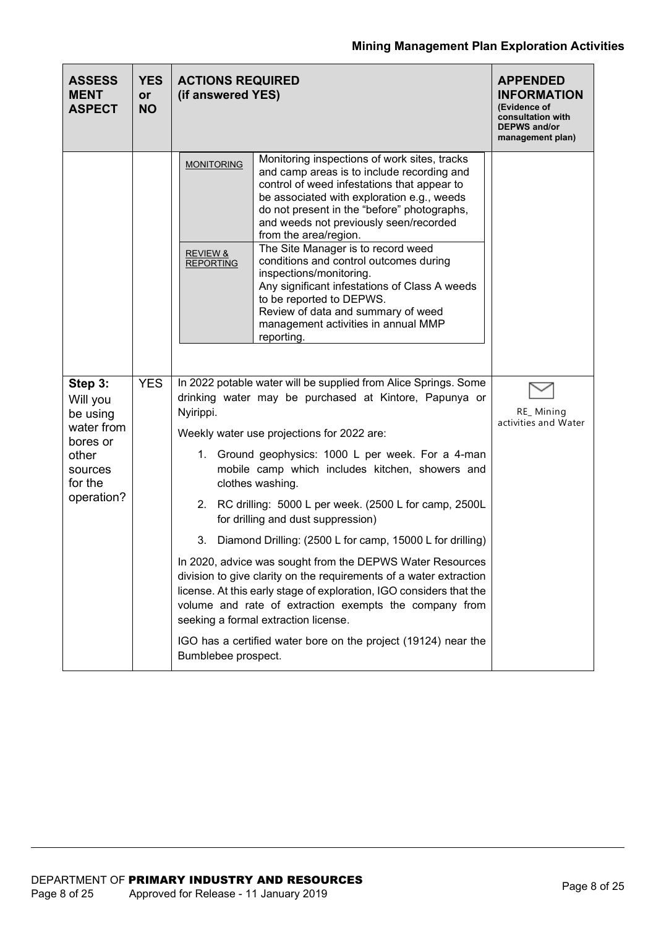| <b>ASSESS</b><br><b>MENT</b><br><b>ASPECT</b>             | <b>YES</b><br><b>or</b><br><b>NO</b> | <b>ACTIONS REQUIRED</b><br>(if answered YES)                                                                                                                                                                                                                                                                                                                                                                                                                                                                                                                                                                                                                 | <b>APPENDED</b><br><b>INFORMATION</b><br>(Evidence of<br>consultation with<br><b>DEPWS and/or</b><br>management plan) |
|-----------------------------------------------------------|--------------------------------------|--------------------------------------------------------------------------------------------------------------------------------------------------------------------------------------------------------------------------------------------------------------------------------------------------------------------------------------------------------------------------------------------------------------------------------------------------------------------------------------------------------------------------------------------------------------------------------------------------------------------------------------------------------------|-----------------------------------------------------------------------------------------------------------------------|
|                                                           |                                      | Monitoring inspections of work sites, tracks<br><b>MONITORING</b><br>and camp areas is to include recording and<br>control of weed infestations that appear to<br>be associated with exploration e.g., weeds<br>do not present in the "before" photographs,<br>and weeds not previously seen/recorded<br>from the area/region.<br>The Site Manager is to record weed<br><b>REVIEW &amp;</b><br>conditions and control outcomes during<br><b>REPORTING</b><br>inspections/monitoring.<br>Any significant infestations of Class A weeds<br>to be reported to DEPWS.<br>Review of data and summary of weed<br>management activities in annual MMP<br>reporting. |                                                                                                                       |
| Step 3:<br>Will you<br>be using<br>water from<br>bores or | <b>YES</b>                           | In 2022 potable water will be supplied from Alice Springs. Some<br>drinking water may be purchased at Kintore, Papunya or<br>Nyirippi.<br>Weekly water use projections for 2022 are:<br>1. Ground geophysics: 1000 L per week. For a 4-man                                                                                                                                                                                                                                                                                                                                                                                                                   | RE_Mining<br>activities and Water                                                                                     |
| other<br>sources<br>for the                               |                                      | mobile camp which includes kitchen, showers and<br>clothes washing.                                                                                                                                                                                                                                                                                                                                                                                                                                                                                                                                                                                          |                                                                                                                       |
| operation?                                                |                                      | 2.<br>RC drilling: 5000 L per week. (2500 L for camp, 2500L<br>for drilling and dust suppression)                                                                                                                                                                                                                                                                                                                                                                                                                                                                                                                                                            |                                                                                                                       |
|                                                           |                                      | 3.<br>Diamond Drilling: (2500 L for camp, 15000 L for drilling)                                                                                                                                                                                                                                                                                                                                                                                                                                                                                                                                                                                              |                                                                                                                       |
|                                                           |                                      | In 2020, advice was sought from the DEPWS Water Resources<br>division to give clarity on the requirements of a water extraction<br>license. At this early stage of exploration, IGO considers that the<br>volume and rate of extraction exempts the company from<br>seeking a formal extraction license.                                                                                                                                                                                                                                                                                                                                                     |                                                                                                                       |
|                                                           |                                      | IGO has a certified water bore on the project (19124) near the<br>Bumblebee prospect.                                                                                                                                                                                                                                                                                                                                                                                                                                                                                                                                                                        |                                                                                                                       |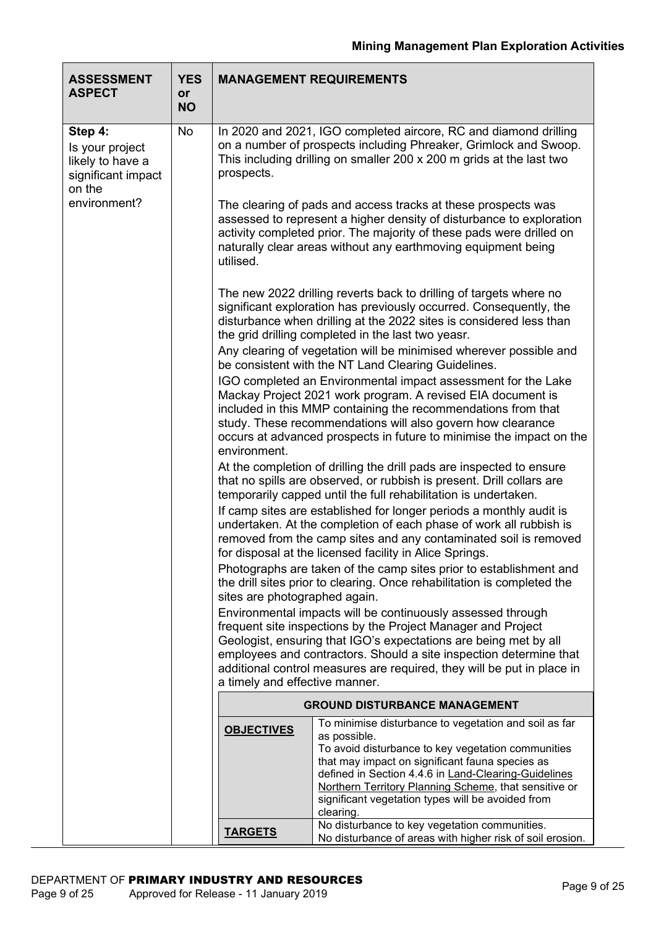| <b>ASSESSMENT</b><br><b>ASPECT</b>                                             | <b>YES</b><br><b>or</b> |                                                                                                                                                                                                                                                                                                                                                                                   | <b>MANAGEMENT REQUIREMENTS</b>                                                                                                                                                                                                                                                                                                                                    |  |  |  |  |
|--------------------------------------------------------------------------------|-------------------------|-----------------------------------------------------------------------------------------------------------------------------------------------------------------------------------------------------------------------------------------------------------------------------------------------------------------------------------------------------------------------------------|-------------------------------------------------------------------------------------------------------------------------------------------------------------------------------------------------------------------------------------------------------------------------------------------------------------------------------------------------------------------|--|--|--|--|
|                                                                                | <b>NO</b>               |                                                                                                                                                                                                                                                                                                                                                                                   |                                                                                                                                                                                                                                                                                                                                                                   |  |  |  |  |
| Step 4:<br>Is your project<br>likely to have a<br>significant impact<br>on the | No                      | prospects.                                                                                                                                                                                                                                                                                                                                                                        | In 2020 and 2021, IGO completed aircore, RC and diamond drilling<br>on a number of prospects including Phreaker, Grimlock and Swoop.<br>This including drilling on smaller 200 x 200 m grids at the last two                                                                                                                                                      |  |  |  |  |
| environment?                                                                   |                         | utilised.                                                                                                                                                                                                                                                                                                                                                                         | The clearing of pads and access tracks at these prospects was<br>assessed to represent a higher density of disturbance to exploration<br>activity completed prior. The majority of these pads were drilled on<br>naturally clear areas without any earthmoving equipment being                                                                                    |  |  |  |  |
|                                                                                |                         |                                                                                                                                                                                                                                                                                                                                                                                   | The new 2022 drilling reverts back to drilling of targets where no<br>significant exploration has previously occurred. Consequently, the<br>disturbance when drilling at the 2022 sites is considered less than<br>the grid drilling completed in the last two yeasr.                                                                                             |  |  |  |  |
|                                                                                |                         | Any clearing of vegetation will be minimised wherever possible and<br>be consistent with the NT Land Clearing Guidelines.                                                                                                                                                                                                                                                         |                                                                                                                                                                                                                                                                                                                                                                   |  |  |  |  |
|                                                                                |                         | IGO completed an Environmental impact assessment for the Lake<br>Mackay Project 2021 work program. A revised EIA document is<br>included in this MMP containing the recommendations from that<br>study. These recommendations will also govern how clearance<br>occurs at advanced prospects in future to minimise the impact on the<br>environment.                              |                                                                                                                                                                                                                                                                                                                                                                   |  |  |  |  |
|                                                                                |                         | At the completion of drilling the drill pads are inspected to ensure<br>that no spills are observed, or rubbish is present. Drill collars are<br>temporarily capped until the full rehabilitation is undertaken.                                                                                                                                                                  |                                                                                                                                                                                                                                                                                                                                                                   |  |  |  |  |
|                                                                                |                         |                                                                                                                                                                                                                                                                                                                                                                                   | If camp sites are established for longer periods a monthly audit is<br>undertaken. At the completion of each phase of work all rubbish is<br>removed from the camp sites and any contaminated soil is removed<br>for disposal at the licensed facility in Alice Springs.                                                                                          |  |  |  |  |
|                                                                                |                         | sites are photographed again.                                                                                                                                                                                                                                                                                                                                                     | Photographs are taken of the camp sites prior to establishment and<br>the drill sites prior to clearing. Once rehabilitation is completed the                                                                                                                                                                                                                     |  |  |  |  |
|                                                                                |                         | Environmental impacts will be continuously assessed through<br>frequent site inspections by the Project Manager and Project<br>Geologist, ensuring that IGO's expectations are being met by all<br>employees and contractors. Should a site inspection determine that<br>additional control measures are required, they will be put in place in<br>a timely and effective manner. |                                                                                                                                                                                                                                                                                                                                                                   |  |  |  |  |
|                                                                                |                         |                                                                                                                                                                                                                                                                                                                                                                                   | <b>GROUND DISTURBANCE MANAGEMENT</b>                                                                                                                                                                                                                                                                                                                              |  |  |  |  |
|                                                                                |                         | <b>OBJECTIVES</b>                                                                                                                                                                                                                                                                                                                                                                 | To minimise disturbance to vegetation and soil as far<br>as possible.<br>To avoid disturbance to key vegetation communities<br>that may impact on significant fauna species as<br>defined in Section 4.4.6 in Land-Clearing-Guidelines<br>Northern Territory Planning Scheme, that sensitive or<br>significant vegetation types will be avoided from<br>clearing. |  |  |  |  |
|                                                                                |                         | <b>TARGETS</b>                                                                                                                                                                                                                                                                                                                                                                    | No disturbance to key vegetation communities.<br>No disturbance of areas with higher risk of soil erosion.                                                                                                                                                                                                                                                        |  |  |  |  |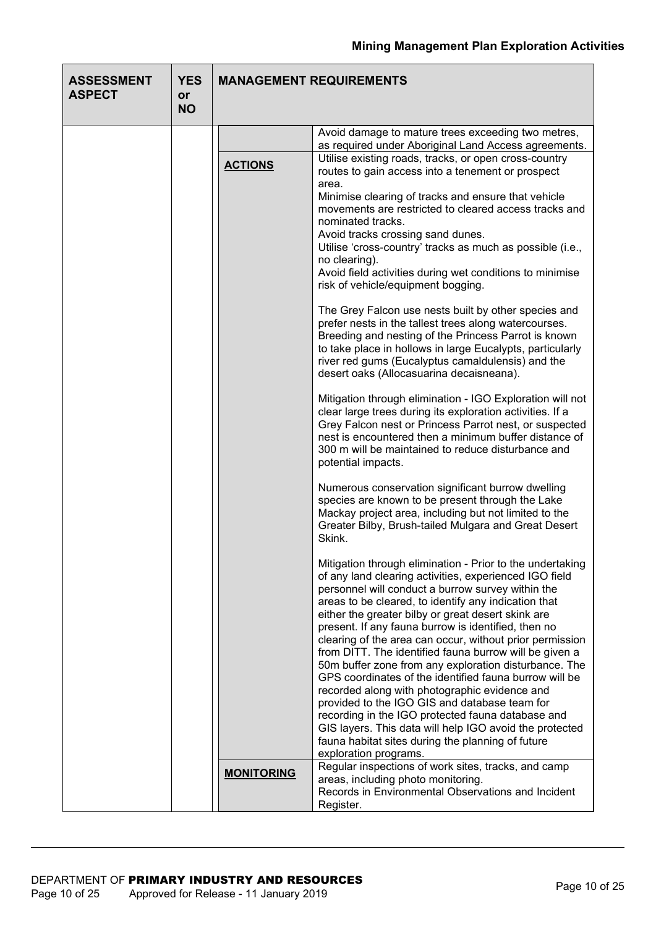| <b>ASSESSMENT</b><br><b>ASPECT</b> | <b>YES</b><br>or<br><b>NO</b> | <b>MANAGEMENT REQUIREMENTS</b> |                                                                                                                                                                                                                                                                                                                                                                                                                                                                                                                                                                                                                                                                                                                                                                                                                                                                                        |  |  |  |  |
|------------------------------------|-------------------------------|--------------------------------|----------------------------------------------------------------------------------------------------------------------------------------------------------------------------------------------------------------------------------------------------------------------------------------------------------------------------------------------------------------------------------------------------------------------------------------------------------------------------------------------------------------------------------------------------------------------------------------------------------------------------------------------------------------------------------------------------------------------------------------------------------------------------------------------------------------------------------------------------------------------------------------|--|--|--|--|
|                                    |                               |                                | Avoid damage to mature trees exceeding two metres,<br>as required under Aboriginal Land Access agreements.                                                                                                                                                                                                                                                                                                                                                                                                                                                                                                                                                                                                                                                                                                                                                                             |  |  |  |  |
|                                    |                               | <b>ACTIONS</b>                 | Utilise existing roads, tracks, or open cross-country<br>routes to gain access into a tenement or prospect<br>area.<br>Minimise clearing of tracks and ensure that vehicle<br>movements are restricted to cleared access tracks and<br>nominated tracks.<br>Avoid tracks crossing sand dunes.<br>Utilise 'cross-country' tracks as much as possible (i.e.,<br>no clearing).<br>Avoid field activities during wet conditions to minimise<br>risk of vehicle/equipment bogging.                                                                                                                                                                                                                                                                                                                                                                                                          |  |  |  |  |
|                                    |                               |                                | The Grey Falcon use nests built by other species and<br>prefer nests in the tallest trees along watercourses.<br>Breeding and nesting of the Princess Parrot is known<br>to take place in hollows in large Eucalypts, particularly<br>river red gums (Eucalyptus camaldulensis) and the<br>desert oaks (Allocasuarina decaisneana).                                                                                                                                                                                                                                                                                                                                                                                                                                                                                                                                                    |  |  |  |  |
|                                    |                               |                                | Mitigation through elimination - IGO Exploration will not<br>clear large trees during its exploration activities. If a<br>Grey Falcon nest or Princess Parrot nest, or suspected<br>nest is encountered then a minimum buffer distance of<br>300 m will be maintained to reduce disturbance and<br>potential impacts.                                                                                                                                                                                                                                                                                                                                                                                                                                                                                                                                                                  |  |  |  |  |
|                                    |                               |                                | Numerous conservation significant burrow dwelling<br>species are known to be present through the Lake<br>Mackay project area, including but not limited to the<br>Greater Bilby, Brush-tailed Mulgara and Great Desert<br>Skink.                                                                                                                                                                                                                                                                                                                                                                                                                                                                                                                                                                                                                                                       |  |  |  |  |
|                                    |                               |                                | Mitigation through elimination - Prior to the undertaking<br>of any land clearing activities, experienced IGO field<br>personnel will conduct a burrow survey within the<br>areas to be cleared, to identify any indication that<br>either the greater bilby or great desert skink are<br>present. If any fauna burrow is identified, then no<br>clearing of the area can occur, without prior permission<br>from DITT. The identified fauna burrow will be given a<br>50m buffer zone from any exploration disturbance. The<br>GPS coordinates of the identified fauna burrow will be<br>recorded along with photographic evidence and<br>provided to the IGO GIS and database team for<br>recording in the IGO protected fauna database and<br>GIS layers. This data will help IGO avoid the protected<br>fauna habitat sites during the planning of future<br>exploration programs. |  |  |  |  |
|                                    |                               | <b>MONITORING</b>              | Regular inspections of work sites, tracks, and camp<br>areas, including photo monitoring.<br>Records in Environmental Observations and Incident<br>Register.                                                                                                                                                                                                                                                                                                                                                                                                                                                                                                                                                                                                                                                                                                                           |  |  |  |  |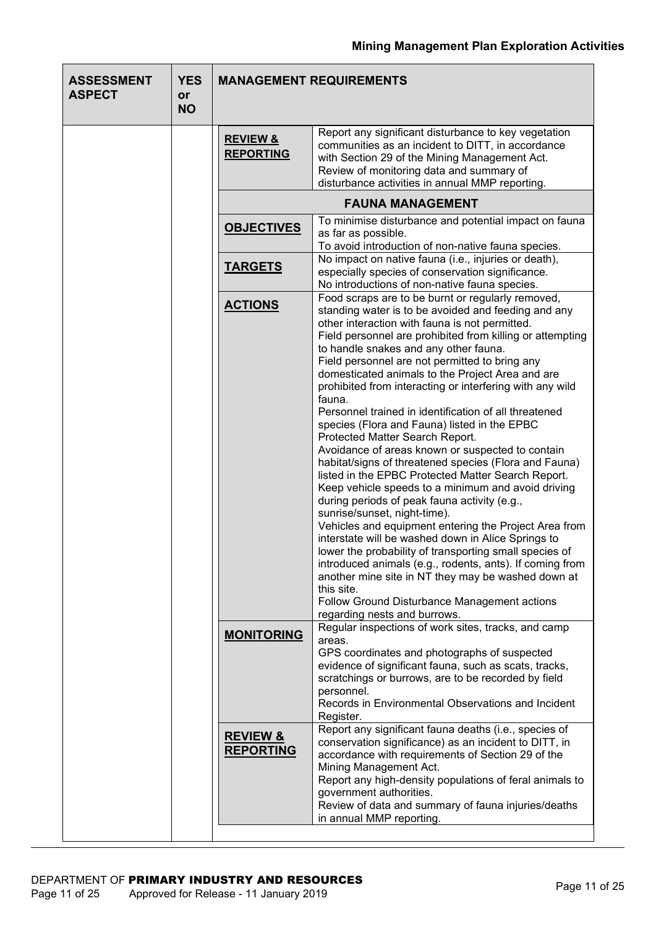| <b>ASSESSMENT</b><br><b>ASPECT</b> | <b>YES</b><br><b>or</b><br><b>NO</b> |                                         | <b>MANAGEMENT REQUIREMENTS</b>                                                                                                                                                                                                                                                                                                                                                                                                                                                                                                                                                                                                                                                                                                                                                                                                                                                                                                                                                                                                                                                                                                                                                                                                                                                             |
|------------------------------------|--------------------------------------|-----------------------------------------|--------------------------------------------------------------------------------------------------------------------------------------------------------------------------------------------------------------------------------------------------------------------------------------------------------------------------------------------------------------------------------------------------------------------------------------------------------------------------------------------------------------------------------------------------------------------------------------------------------------------------------------------------------------------------------------------------------------------------------------------------------------------------------------------------------------------------------------------------------------------------------------------------------------------------------------------------------------------------------------------------------------------------------------------------------------------------------------------------------------------------------------------------------------------------------------------------------------------------------------------------------------------------------------------|
|                                    |                                      | <b>REVIEW &amp;</b><br><b>REPORTING</b> | Report any significant disturbance to key vegetation<br>communities as an incident to DITT, in accordance<br>with Section 29 of the Mining Management Act.<br>Review of monitoring data and summary of<br>disturbance activities in annual MMP reporting.                                                                                                                                                                                                                                                                                                                                                                                                                                                                                                                                                                                                                                                                                                                                                                                                                                                                                                                                                                                                                                  |
|                                    |                                      |                                         | <b>FAUNA MANAGEMENT</b>                                                                                                                                                                                                                                                                                                                                                                                                                                                                                                                                                                                                                                                                                                                                                                                                                                                                                                                                                                                                                                                                                                                                                                                                                                                                    |
|                                    |                                      | <b>OBJECTIVES</b>                       | To minimise disturbance and potential impact on fauna<br>as far as possible.<br>To avoid introduction of non-native fauna species.                                                                                                                                                                                                                                                                                                                                                                                                                                                                                                                                                                                                                                                                                                                                                                                                                                                                                                                                                                                                                                                                                                                                                         |
|                                    |                                      | <b>TARGETS</b>                          | No impact on native fauna (i.e., injuries or death),<br>especially species of conservation significance.<br>No introductions of non-native fauna species.                                                                                                                                                                                                                                                                                                                                                                                                                                                                                                                                                                                                                                                                                                                                                                                                                                                                                                                                                                                                                                                                                                                                  |
|                                    |                                      | <b>ACTIONS</b>                          | Food scraps are to be burnt or regularly removed,<br>standing water is to be avoided and feeding and any<br>other interaction with fauna is not permitted.<br>Field personnel are prohibited from killing or attempting<br>to handle snakes and any other fauna.<br>Field personnel are not permitted to bring any<br>domesticated animals to the Project Area and are<br>prohibited from interacting or interfering with any wild<br>fauna.<br>Personnel trained in identification of all threatened<br>species (Flora and Fauna) listed in the EPBC<br>Protected Matter Search Report.<br>Avoidance of areas known or suspected to contain<br>habitat/signs of threatened species (Flora and Fauna)<br>listed in the EPBC Protected Matter Search Report.<br>Keep vehicle speeds to a minimum and avoid driving<br>during periods of peak fauna activity (e.g.,<br>sunrise/sunset, night-time).<br>Vehicles and equipment entering the Project Area from<br>interstate will be washed down in Alice Springs to<br>lower the probability of transporting small species of<br>introduced animals (e.g., rodents, ants). If coming from<br>another mine site in NT they may be washed down at<br>this site.<br>Follow Ground Disturbance Management actions<br>regarding nests and burrows. |
|                                    |                                      | <b>MONITORING</b>                       | Regular inspections of work sites, tracks, and camp<br>areas.<br>GPS coordinates and photographs of suspected<br>evidence of significant fauna, such as scats, tracks,<br>scratchings or burrows, are to be recorded by field<br>personnel.<br>Records in Environmental Observations and Incident<br>Register.                                                                                                                                                                                                                                                                                                                                                                                                                                                                                                                                                                                                                                                                                                                                                                                                                                                                                                                                                                             |
|                                    |                                      | <b>REVIEW &amp;</b><br><b>REPORTING</b> | Report any significant fauna deaths (i.e., species of<br>conservation significance) as an incident to DITT, in<br>accordance with requirements of Section 29 of the<br>Mining Management Act.<br>Report any high-density populations of feral animals to<br>government authorities.<br>Review of data and summary of fauna injuries/deaths<br>in annual MMP reporting.                                                                                                                                                                                                                                                                                                                                                                                                                                                                                                                                                                                                                                                                                                                                                                                                                                                                                                                     |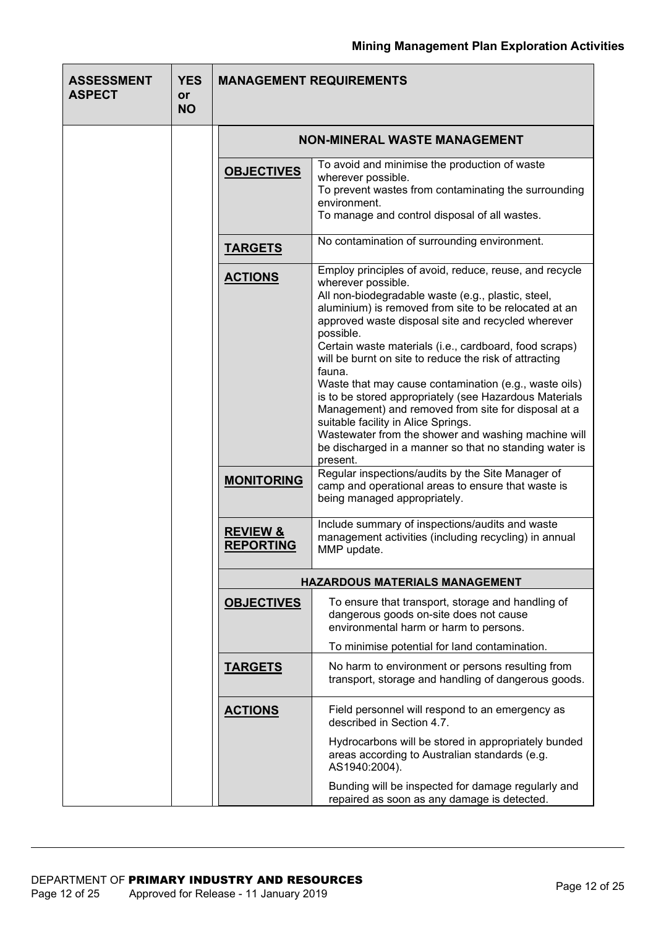| <b>ASSESSMENT</b><br><b>ASPECT</b> | <b>YES</b><br>or<br><b>NO</b> |                                         | <b>MANAGEMENT REQUIREMENTS</b>                                                                                                                                                                                                                                                                                                                                                                                                                                                                                                                                                                                                                                                                                                                                                                                                                                                        |  |  |  |  |
|------------------------------------|-------------------------------|-----------------------------------------|---------------------------------------------------------------------------------------------------------------------------------------------------------------------------------------------------------------------------------------------------------------------------------------------------------------------------------------------------------------------------------------------------------------------------------------------------------------------------------------------------------------------------------------------------------------------------------------------------------------------------------------------------------------------------------------------------------------------------------------------------------------------------------------------------------------------------------------------------------------------------------------|--|--|--|--|
|                                    |                               |                                         | <b>NON-MINERAL WASTE MANAGEMENT</b>                                                                                                                                                                                                                                                                                                                                                                                                                                                                                                                                                                                                                                                                                                                                                                                                                                                   |  |  |  |  |
|                                    |                               | <b>OBJECTIVES</b>                       | To avoid and minimise the production of waste<br>wherever possible.<br>To prevent wastes from contaminating the surrounding<br>environment.<br>To manage and control disposal of all wastes.                                                                                                                                                                                                                                                                                                                                                                                                                                                                                                                                                                                                                                                                                          |  |  |  |  |
|                                    |                               | <b>TARGETS</b>                          | No contamination of surrounding environment.                                                                                                                                                                                                                                                                                                                                                                                                                                                                                                                                                                                                                                                                                                                                                                                                                                          |  |  |  |  |
|                                    |                               | <b>ACTIONS</b><br><b>MONITORING</b>     | Employ principles of avoid, reduce, reuse, and recycle<br>wherever possible.<br>All non-biodegradable waste (e.g., plastic, steel,<br>aluminium) is removed from site to be relocated at an<br>approved waste disposal site and recycled wherever<br>possible.<br>Certain waste materials (i.e., cardboard, food scraps)<br>will be burnt on site to reduce the risk of attracting<br>fauna.<br>Waste that may cause contamination (e.g., waste oils)<br>is to be stored appropriately (see Hazardous Materials<br>Management) and removed from site for disposal at a<br>suitable facility in Alice Springs.<br>Wastewater from the shower and washing machine will<br>be discharged in a manner so that no standing water is<br>present.<br>Regular inspections/audits by the Site Manager of<br>camp and operational areas to ensure that waste is<br>being managed appropriately. |  |  |  |  |
|                                    |                               | <b>REVIEW &amp;</b><br><b>REPORTING</b> | Include summary of inspections/audits and waste<br>management activities (including recycling) in annual<br>MMP update.                                                                                                                                                                                                                                                                                                                                                                                                                                                                                                                                                                                                                                                                                                                                                               |  |  |  |  |
|                                    |                               |                                         | <b>HAZARDOUS MATERIALS MANAGEMENT</b>                                                                                                                                                                                                                                                                                                                                                                                                                                                                                                                                                                                                                                                                                                                                                                                                                                                 |  |  |  |  |
|                                    |                               | <b>OBJECTIVES</b>                       | To ensure that transport, storage and handling of<br>dangerous goods on-site does not cause<br>environmental harm or harm to persons.                                                                                                                                                                                                                                                                                                                                                                                                                                                                                                                                                                                                                                                                                                                                                 |  |  |  |  |
|                                    |                               |                                         | To minimise potential for land contamination.                                                                                                                                                                                                                                                                                                                                                                                                                                                                                                                                                                                                                                                                                                                                                                                                                                         |  |  |  |  |
|                                    |                               | <b>TARGETS</b>                          | No harm to environment or persons resulting from<br>transport, storage and handling of dangerous goods.                                                                                                                                                                                                                                                                                                                                                                                                                                                                                                                                                                                                                                                                                                                                                                               |  |  |  |  |
|                                    |                               | <b>ACTIONS</b>                          | Field personnel will respond to an emergency as<br>described in Section 4.7.<br>Hydrocarbons will be stored in appropriately bunded<br>areas according to Australian standards (e.g.<br>AS1940:2004).                                                                                                                                                                                                                                                                                                                                                                                                                                                                                                                                                                                                                                                                                 |  |  |  |  |
|                                    |                               |                                         | Bunding will be inspected for damage regularly and<br>repaired as soon as any damage is detected.                                                                                                                                                                                                                                                                                                                                                                                                                                                                                                                                                                                                                                                                                                                                                                                     |  |  |  |  |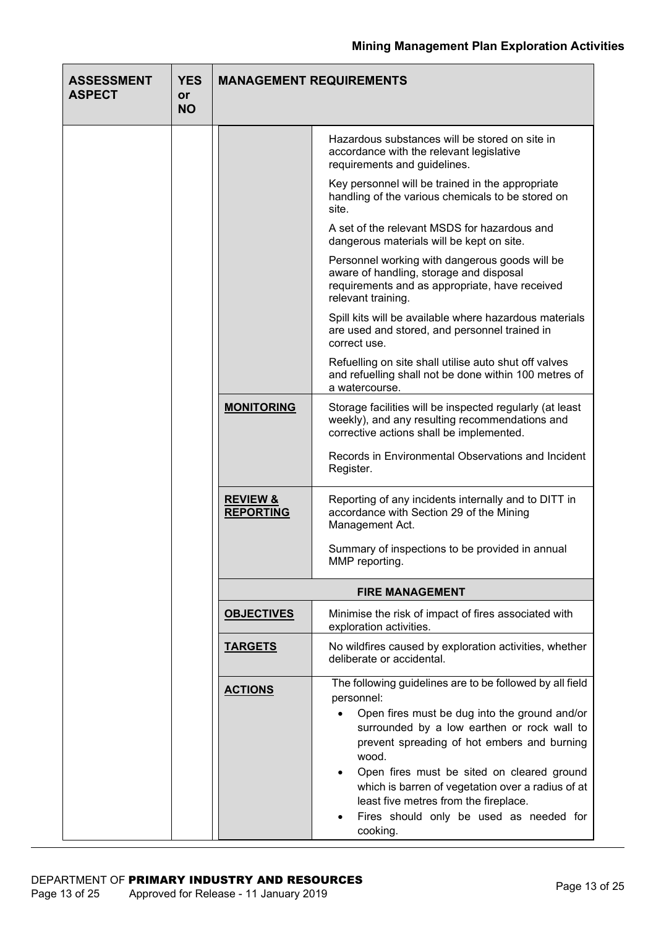| <b>ASSESSMENT</b><br><b>ASPECT</b> | <b>YES</b><br>or<br><b>NO</b> | <b>MANAGEMENT REQUIREMENTS</b>          |                                                                                                                                                                                                                                                                                                                                                                                                                                   |  |  |  |  |  |
|------------------------------------|-------------------------------|-----------------------------------------|-----------------------------------------------------------------------------------------------------------------------------------------------------------------------------------------------------------------------------------------------------------------------------------------------------------------------------------------------------------------------------------------------------------------------------------|--|--|--|--|--|
|                                    |                               |                                         | Hazardous substances will be stored on site in<br>accordance with the relevant legislative<br>requirements and guidelines.                                                                                                                                                                                                                                                                                                        |  |  |  |  |  |
|                                    |                               |                                         | Key personnel will be trained in the appropriate<br>handling of the various chemicals to be stored on<br>site.                                                                                                                                                                                                                                                                                                                    |  |  |  |  |  |
|                                    |                               |                                         | A set of the relevant MSDS for hazardous and<br>dangerous materials will be kept on site.                                                                                                                                                                                                                                                                                                                                         |  |  |  |  |  |
|                                    |                               |                                         | Personnel working with dangerous goods will be<br>aware of handling, storage and disposal<br>requirements and as appropriate, have received<br>relevant training.                                                                                                                                                                                                                                                                 |  |  |  |  |  |
|                                    |                               |                                         | Spill kits will be available where hazardous materials<br>are used and stored, and personnel trained in<br>correct use.                                                                                                                                                                                                                                                                                                           |  |  |  |  |  |
|                                    |                               |                                         | Refuelling on site shall utilise auto shut off valves<br>and refuelling shall not be done within 100 metres of<br>a watercourse.                                                                                                                                                                                                                                                                                                  |  |  |  |  |  |
|                                    |                               | <b>MONITORING</b>                       | Storage facilities will be inspected regularly (at least<br>weekly), and any resulting recommendations and<br>corrective actions shall be implemented.                                                                                                                                                                                                                                                                            |  |  |  |  |  |
|                                    |                               |                                         | Records in Environmental Observations and Incident<br>Register.                                                                                                                                                                                                                                                                                                                                                                   |  |  |  |  |  |
|                                    |                               | <b>REVIEW &amp;</b><br><b>REPORTING</b> | Reporting of any incidents internally and to DITT in<br>accordance with Section 29 of the Mining<br>Management Act.                                                                                                                                                                                                                                                                                                               |  |  |  |  |  |
|                                    |                               |                                         | Summary of inspections to be provided in annual<br>MMP reporting.                                                                                                                                                                                                                                                                                                                                                                 |  |  |  |  |  |
|                                    |                               |                                         | <b>FIRE MANAGEMENT</b>                                                                                                                                                                                                                                                                                                                                                                                                            |  |  |  |  |  |
|                                    |                               | <b>OBJECTIVES</b>                       | Minimise the risk of impact of fires associated with<br>exploration activities.                                                                                                                                                                                                                                                                                                                                                   |  |  |  |  |  |
|                                    |                               | <b>TARGETS</b>                          | No wildfires caused by exploration activities, whether<br>deliberate or accidental.                                                                                                                                                                                                                                                                                                                                               |  |  |  |  |  |
|                                    |                               | <b>ACTIONS</b>                          | The following guidelines are to be followed by all field<br>personnel:<br>Open fires must be dug into the ground and/or<br>surrounded by a low earthen or rock wall to<br>prevent spreading of hot embers and burning<br>wood.<br>Open fires must be sited on cleared ground<br>which is barren of vegetation over a radius of at<br>least five metres from the fireplace.<br>Fires should only be used as needed for<br>cooking. |  |  |  |  |  |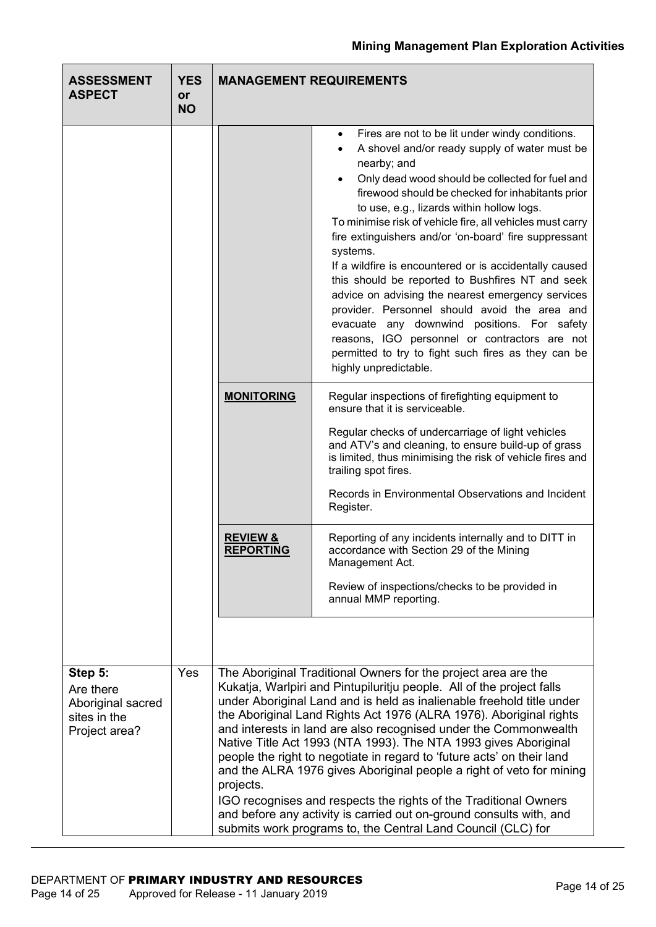| <b>ASSESSMENT</b><br><b>ASPECT</b>                                         | <b>YES</b><br>or<br><b>NO</b> |                                                                                                                                                                                                                                                                                                                                                                                                                                                                                                                                                                                                                                                                                                                                                                                                         | <b>MANAGEMENT REQUIREMENTS</b>                                                                                                                                                                                                                                                                                                                                                                                                                                                                                                                                                                                                                                                                                                                                                                                         |  |  |  |
|----------------------------------------------------------------------------|-------------------------------|---------------------------------------------------------------------------------------------------------------------------------------------------------------------------------------------------------------------------------------------------------------------------------------------------------------------------------------------------------------------------------------------------------------------------------------------------------------------------------------------------------------------------------------------------------------------------------------------------------------------------------------------------------------------------------------------------------------------------------------------------------------------------------------------------------|------------------------------------------------------------------------------------------------------------------------------------------------------------------------------------------------------------------------------------------------------------------------------------------------------------------------------------------------------------------------------------------------------------------------------------------------------------------------------------------------------------------------------------------------------------------------------------------------------------------------------------------------------------------------------------------------------------------------------------------------------------------------------------------------------------------------|--|--|--|
|                                                                            |                               |                                                                                                                                                                                                                                                                                                                                                                                                                                                                                                                                                                                                                                                                                                                                                                                                         | Fires are not to be lit under windy conditions.<br>$\bullet$<br>A shovel and/or ready supply of water must be<br>nearby; and<br>Only dead wood should be collected for fuel and<br>firewood should be checked for inhabitants prior<br>to use, e.g., lizards within hollow logs.<br>To minimise risk of vehicle fire, all vehicles must carry<br>fire extinguishers and/or 'on-board' fire suppressant<br>systems.<br>If a wildfire is encountered or is accidentally caused<br>this should be reported to Bushfires NT and seek<br>advice on advising the nearest emergency services<br>provider. Personnel should avoid the area and<br>evacuate any downwind positions. For safety<br>reasons, IGO personnel or contractors are not<br>permitted to try to fight such fires as they can be<br>highly unpredictable. |  |  |  |
|                                                                            |                               | <b>MONITORING</b>                                                                                                                                                                                                                                                                                                                                                                                                                                                                                                                                                                                                                                                                                                                                                                                       | Regular inspections of firefighting equipment to<br>ensure that it is serviceable.<br>Regular checks of undercarriage of light vehicles<br>and ATV's and cleaning, to ensure build-up of grass<br>is limited, thus minimising the risk of vehicle fires and<br>trailing spot fires.                                                                                                                                                                                                                                                                                                                                                                                                                                                                                                                                    |  |  |  |
|                                                                            |                               |                                                                                                                                                                                                                                                                                                                                                                                                                                                                                                                                                                                                                                                                                                                                                                                                         | Records in Environmental Observations and Incident<br>Register.                                                                                                                                                                                                                                                                                                                                                                                                                                                                                                                                                                                                                                                                                                                                                        |  |  |  |
|                                                                            |                               | <b>REVIEW &amp;</b><br><b>REPORTING</b>                                                                                                                                                                                                                                                                                                                                                                                                                                                                                                                                                                                                                                                                                                                                                                 | Reporting of any incidents internally and to DITT in<br>accordance with Section 29 of the Mining<br>Management Act.<br>Review of inspections/checks to be provided in<br>annual MMP reporting.                                                                                                                                                                                                                                                                                                                                                                                                                                                                                                                                                                                                                         |  |  |  |
|                                                                            |                               |                                                                                                                                                                                                                                                                                                                                                                                                                                                                                                                                                                                                                                                                                                                                                                                                         |                                                                                                                                                                                                                                                                                                                                                                                                                                                                                                                                                                                                                                                                                                                                                                                                                        |  |  |  |
| Step 5:<br>Are there<br>Aboriginal sacred<br>sites in the<br>Project area? | Yes                           | The Aboriginal Traditional Owners for the project area are the<br>Kukatja, Warlpiri and Pintupiluritju people. All of the project falls<br>under Aboriginal Land and is held as inalienable freehold title under<br>the Aboriginal Land Rights Act 1976 (ALRA 1976). Aboriginal rights<br>and interests in land are also recognised under the Commonwealth<br>Native Title Act 1993 (NTA 1993). The NTA 1993 gives Aboriginal<br>people the right to negotiate in regard to 'future acts' on their land<br>and the ALRA 1976 gives Aboriginal people a right of veto for mining<br>projects.<br>IGO recognises and respects the rights of the Traditional Owners<br>and before any activity is carried out on-ground consults with, and<br>submits work programs to, the Central Land Council (CLC) for |                                                                                                                                                                                                                                                                                                                                                                                                                                                                                                                                                                                                                                                                                                                                                                                                                        |  |  |  |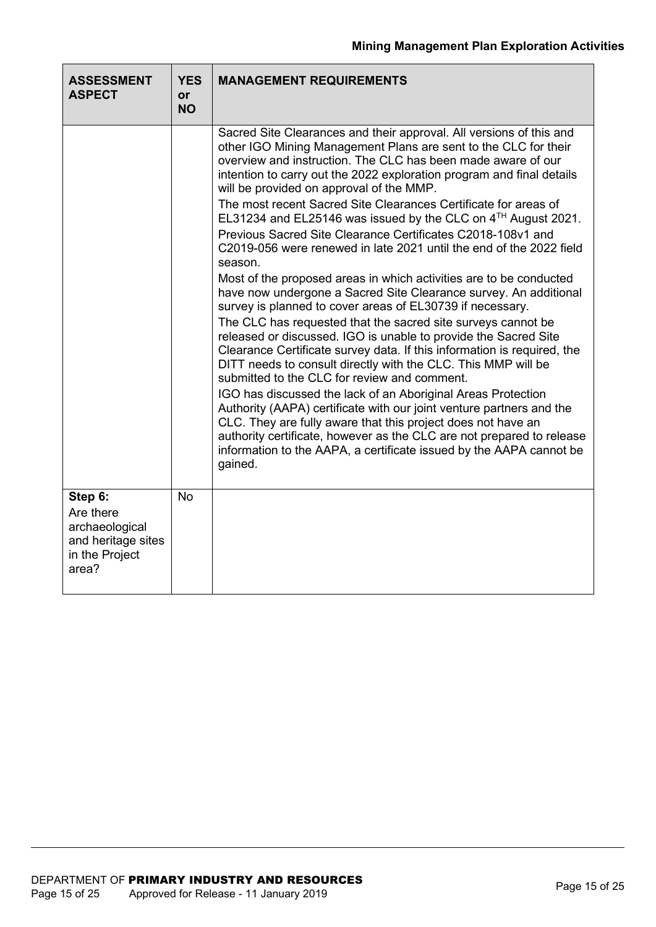| <b>ASSESSMENT</b><br><b>ASPECT</b>                                                      | <b>YES</b><br>or<br><b>NO</b> | <b>MANAGEMENT REQUIREMENTS</b>                                                                                                                                                                                                                                                                                                                                                                                                                                                                                                                                                                                                                                                                                                                                                                                                                                                                                                                                                                                                                                                                                                                                                                                                                                                                                                                                                                                                                                                                                            |
|-----------------------------------------------------------------------------------------|-------------------------------|---------------------------------------------------------------------------------------------------------------------------------------------------------------------------------------------------------------------------------------------------------------------------------------------------------------------------------------------------------------------------------------------------------------------------------------------------------------------------------------------------------------------------------------------------------------------------------------------------------------------------------------------------------------------------------------------------------------------------------------------------------------------------------------------------------------------------------------------------------------------------------------------------------------------------------------------------------------------------------------------------------------------------------------------------------------------------------------------------------------------------------------------------------------------------------------------------------------------------------------------------------------------------------------------------------------------------------------------------------------------------------------------------------------------------------------------------------------------------------------------------------------------------|
|                                                                                         |                               | Sacred Site Clearances and their approval. All versions of this and<br>other IGO Mining Management Plans are sent to the CLC for their<br>overview and instruction. The CLC has been made aware of our<br>intention to carry out the 2022 exploration program and final details<br>will be provided on approval of the MMP.<br>The most recent Sacred Site Clearances Certificate for areas of<br>EL31234 and EL25146 was issued by the CLC on 4TH August 2021.<br>Previous Sacred Site Clearance Certificates C2018-108v1 and<br>C2019-056 were renewed in late 2021 until the end of the 2022 field<br>season.<br>Most of the proposed areas in which activities are to be conducted<br>have now undergone a Sacred Site Clearance survey. An additional<br>survey is planned to cover areas of EL30739 if necessary.<br>The CLC has requested that the sacred site surveys cannot be<br>released or discussed. IGO is unable to provide the Sacred Site<br>Clearance Certificate survey data. If this information is required, the<br>DITT needs to consult directly with the CLC. This MMP will be<br>submitted to the CLC for review and comment.<br>IGO has discussed the lack of an Aboriginal Areas Protection<br>Authority (AAPA) certificate with our joint venture partners and the<br>CLC. They are fully aware that this project does not have an<br>authority certificate, however as the CLC are not prepared to release<br>information to the AAPA, a certificate issued by the AAPA cannot be<br>gained. |
| Step 6:<br>Are there<br>archaeological<br>and heritage sites<br>in the Project<br>area? | <b>No</b>                     |                                                                                                                                                                                                                                                                                                                                                                                                                                                                                                                                                                                                                                                                                                                                                                                                                                                                                                                                                                                                                                                                                                                                                                                                                                                                                                                                                                                                                                                                                                                           |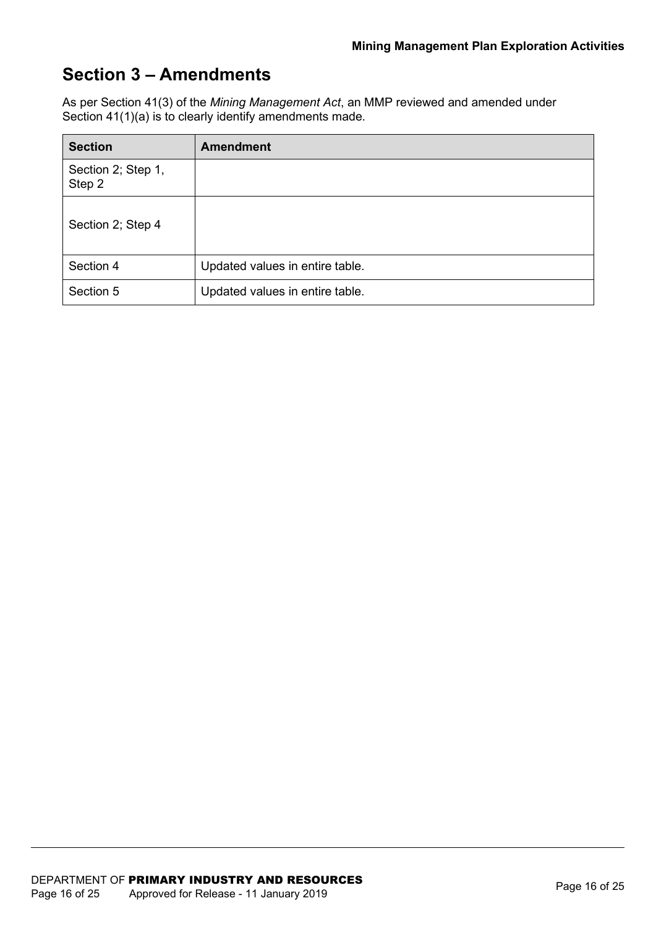### **Section 3 – Amendments**

As per Section 41(3) of the *Mining Management Act*, an MMP reviewed and amended under Section 41(1)(a) is to clearly identify amendments made.

| <b>Section</b>               | <b>Amendment</b>                |
|------------------------------|---------------------------------|
| Section 2; Step 1,<br>Step 2 |                                 |
| Section 2; Step 4            |                                 |
| Section 4                    | Updated values in entire table. |
| Section 5                    | Updated values in entire table. |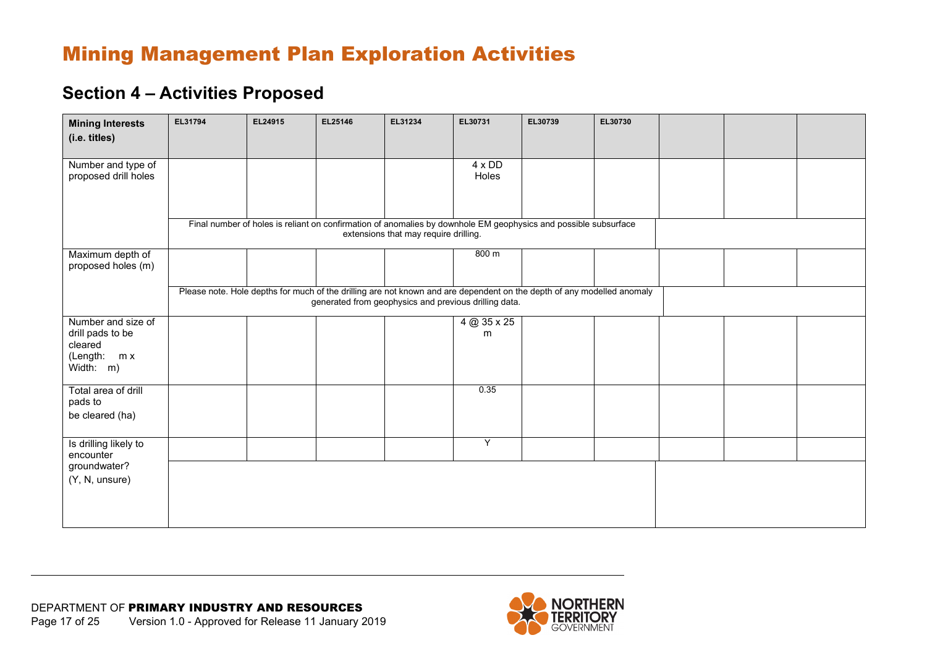### **Section 4 – Activities Proposed**

| <b>Mining Interests</b>                                                           | EL31794 | EL24915 | EL25146 | EL31234                               | EL30731                                               | EL30739                                                                                                                | EL30730 |  |  |
|-----------------------------------------------------------------------------------|---------|---------|---------|---------------------------------------|-------------------------------------------------------|------------------------------------------------------------------------------------------------------------------------|---------|--|--|
| (i.e. titles)                                                                     |         |         |         |                                       |                                                       |                                                                                                                        |         |  |  |
| Number and type of<br>proposed drill holes                                        |         |         |         |                                       | 4 x DD<br>Holes                                       |                                                                                                                        |         |  |  |
|                                                                                   |         |         |         | extensions that may require drilling. |                                                       | Final number of holes is reliant on confirmation of anomalies by downhole EM geophysics and possible subsurface        |         |  |  |
| Maximum depth of<br>proposed holes (m)                                            |         |         |         |                                       | 800 m                                                 |                                                                                                                        |         |  |  |
|                                                                                   |         |         |         |                                       | generated from geophysics and previous drilling data. | Please note. Hole depths for much of the drilling are not known and are dependent on the depth of any modelled anomaly |         |  |  |
| Number and size of<br>drill pads to be<br>cleared<br>(Length:<br>m x<br>Width: m) |         |         |         |                                       | 4 @ 35 x 25<br>m                                      |                                                                                                                        |         |  |  |
| Total area of drill<br>pads to<br>be cleared (ha)                                 |         |         |         |                                       | 0.35                                                  |                                                                                                                        |         |  |  |
| Is drilling likely to<br>encounter                                                |         |         |         |                                       | Υ                                                     |                                                                                                                        |         |  |  |
| groundwater?<br>(Y, N, unsure)                                                    |         |         |         |                                       |                                                       |                                                                                                                        |         |  |  |

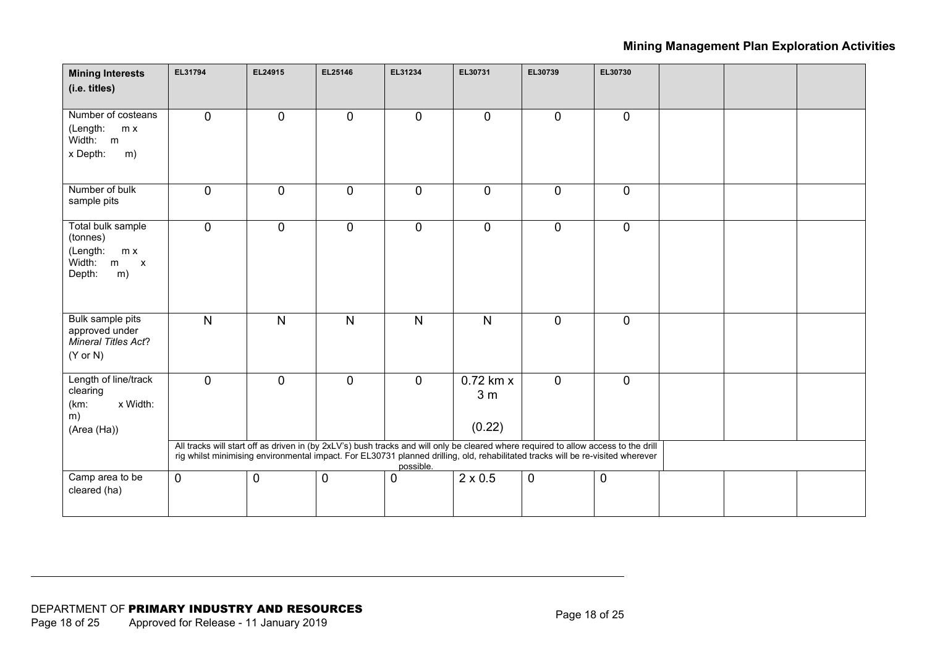| <b>Mining Interests</b><br>(i.e. titles)                                                        | EL31794                                                                                                                                                                                                                                                                | EL24915      | EL25146      | EL31234        | EL30731                                 | EL30739      | EL30730     |  |  |
|-------------------------------------------------------------------------------------------------|------------------------------------------------------------------------------------------------------------------------------------------------------------------------------------------------------------------------------------------------------------------------|--------------|--------------|----------------|-----------------------------------------|--------------|-------------|--|--|
| Number of costeans<br>(Length:<br>m x<br>Width: m<br>x Depth:<br>m)                             | $\mathbf 0$                                                                                                                                                                                                                                                            | $\mathbf 0$  | $\mathbf 0$  | $\mathbf{0}$   | $\mathbf 0$                             | $\mathbf{0}$ | $\mathbf 0$ |  |  |
| Number of bulk<br>sample pits                                                                   | $\mathbf 0$                                                                                                                                                                                                                                                            | $\pmb{0}$    | $\mathbf 0$  | $\mathbf 0$    | $\mathbf 0$                             | $\mathbf 0$  | $\mathbf 0$ |  |  |
| Total bulk sample<br>(tonnes)<br>(Length:<br>m x<br>Width:<br>m<br>$\mathsf{X}$<br>Depth:<br>m) | $\mathbf 0$                                                                                                                                                                                                                                                            | $\mathbf 0$  | $\mathbf 0$  | $\overline{0}$ | $\mathbf 0$                             | $\mathbf 0$  | $\mathbf 0$ |  |  |
| Bulk sample pits<br>approved under<br>Mineral Titles Act?<br>$(Y \text{ or } N)$                | $\overline{N}$                                                                                                                                                                                                                                                         | $\mathsf{N}$ | $\mathsf{N}$ | $\mathsf{N}$   | N                                       | $\mathbf 0$  | $\mathbf 0$ |  |  |
| Length of line/track<br>clearing<br>(km:<br>x Width:<br>m)<br>(Area (Ha))                       | $\mathbf 0$                                                                                                                                                                                                                                                            | $\mathbf 0$  | $\mathbf 0$  | $\mathbf{0}$   | $0.72$ km x<br>3 <sub>m</sub><br>(0.22) | $\mathbf 0$  | $\mathbf 0$ |  |  |
|                                                                                                 | All tracks will start off as driven in (by 2xLV's) bush tracks and will only be cleared where required to allow access to the drill<br>rig whilst minimising environmental impact. For EL30731 planned drilling, old, rehabilitated tracks will be re-visited wherever |              |              | possible.      |                                         |              |             |  |  |
| Camp area to be<br>cleared (ha)                                                                 | $\mathbf 0$                                                                                                                                                                                                                                                            | 0            | $\mathbf 0$  | $\Omega$       | $2 \times 0.5$                          | $\mathbf 0$  | $\mathbf 0$ |  |  |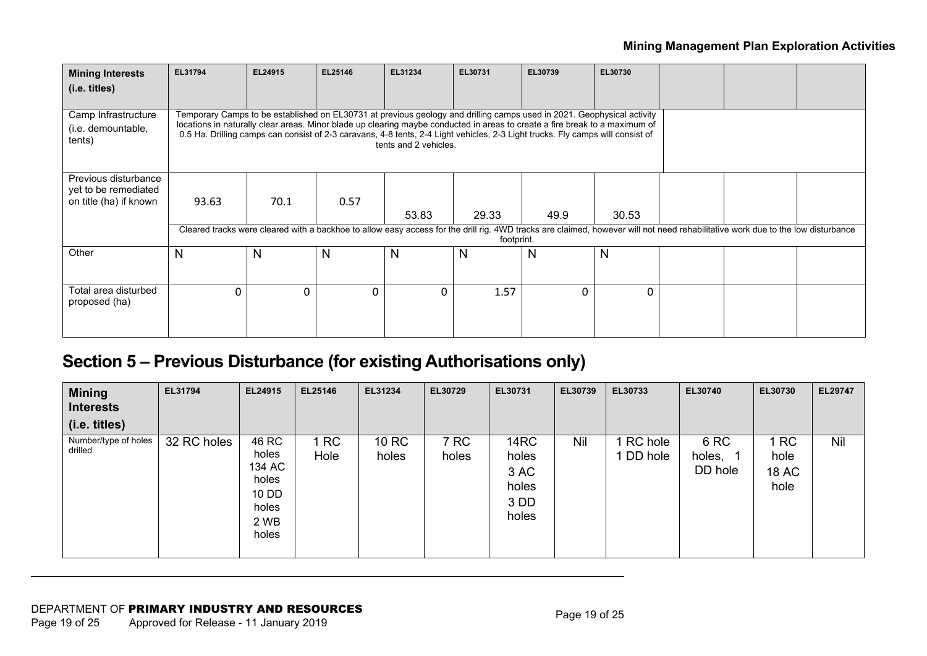| <b>Mining Interests</b>                             | EL31794                                                                                                                                                                                                                                                                                                                                                                                                          | EL24915  | EL25146      | EL31234 | EL30731 | EL30739  | EL30730  |  |  |  |
|-----------------------------------------------------|------------------------------------------------------------------------------------------------------------------------------------------------------------------------------------------------------------------------------------------------------------------------------------------------------------------------------------------------------------------------------------------------------------------|----------|--------------|---------|---------|----------|----------|--|--|--|
| (i.e. titles)                                       |                                                                                                                                                                                                                                                                                                                                                                                                                  |          |              |         |         |          |          |  |  |  |
| Camp Infrastructure<br>(i.e. demountable,<br>tents) | Temporary Camps to be established on EL30731 at previous geology and drilling camps used in 2021. Geophysical activity<br>locations in naturally clear areas. Minor blade up clearing maybe conducted in areas to create a fire break to a maximum of<br>0.5 Ha. Drilling camps can consist of 2-3 caravans, 4-8 tents, 2-4 Light vehicles, 2-3 Light trucks. Fly camps will consist of<br>tents and 2 vehicles. |          |              |         |         |          |          |  |  |  |
| Previous disturbance                                |                                                                                                                                                                                                                                                                                                                                                                                                                  |          |              |         |         |          |          |  |  |  |
| yet to be remediated<br>on title (ha) if known      | 93.63                                                                                                                                                                                                                                                                                                                                                                                                            | 70.1     | 0.57         |         |         |          |          |  |  |  |
|                                                     |                                                                                                                                                                                                                                                                                                                                                                                                                  |          |              | 53.83   | 29.33   | 49.9     | 30.53    |  |  |  |
|                                                     | Cleared tracks were cleared with a backhoe to allow easy access for the drill rig. 4WD tracks are claimed, however will not need rehabilitative work due to the low disturbance<br>footprint.                                                                                                                                                                                                                    |          |              |         |         |          |          |  |  |  |
| Other                                               | N                                                                                                                                                                                                                                                                                                                                                                                                                | N        | N            | N       | N       | N        | N        |  |  |  |
|                                                     |                                                                                                                                                                                                                                                                                                                                                                                                                  |          |              |         |         |          |          |  |  |  |
| Total area disturbed<br>proposed (ha)               | $\Omega$                                                                                                                                                                                                                                                                                                                                                                                                         | $\Omega$ | <sup>n</sup> | O       | 1.57    | $\Omega$ | $\Omega$ |  |  |  |

## **Section 5 – Previous Disturbance (for existing Authorisations only)**

| <b>Mining</b><br><b>Interests</b><br>(i.e. titles) | EL31794     | EL24915                                                              | EL25146           | EL31234        | EL30729       | EL30731                                         | EL30739 | EL30733                | EL30740                     | EL30730                                   | <b>EL29747</b> |
|----------------------------------------------------|-------------|----------------------------------------------------------------------|-------------------|----------------|---------------|-------------------------------------------------|---------|------------------------|-----------------------------|-------------------------------------------|----------------|
| Number/type of holes<br>drilled                    | 32 RC holes | 46 RC<br>holes<br>134 AC<br>holes<br>10 DD<br>holes<br>2 WB<br>holes | <b>RC</b><br>Hole | 10 RC<br>holes | 7 RC<br>holes | 14RC<br>holes<br>3 AC<br>holes<br>3 DD<br>holes | Nil     | 1 RC hole<br>1 DD hole | 6 RC<br>holes, 1<br>DD hole | <b>RC</b><br>hole<br><b>18 AC</b><br>hole | <b>Nil</b>     |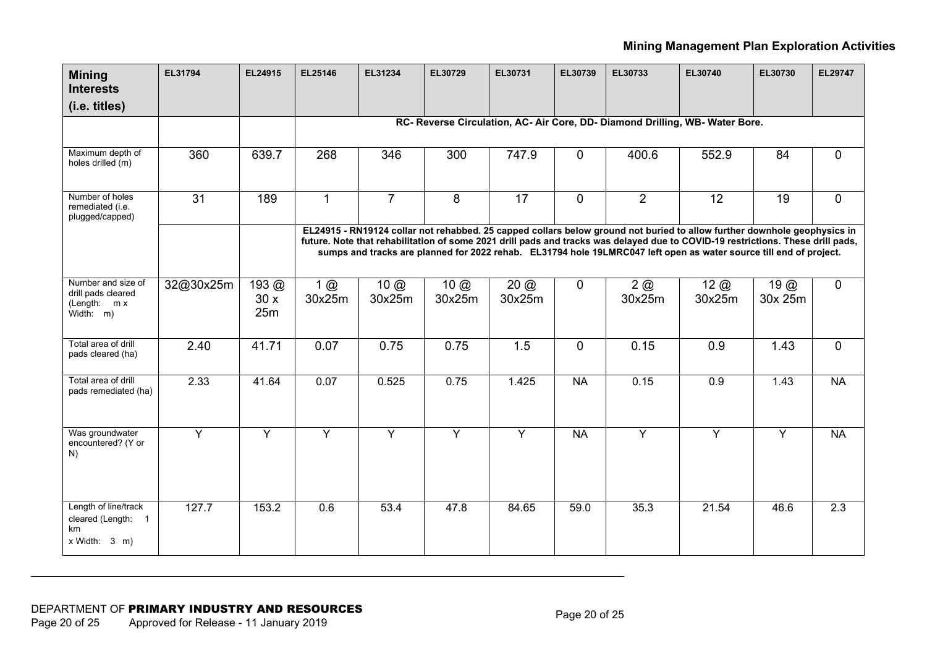| <b>Mining</b><br><b>Interests</b>                                       | EL31794        | EL24915               | EL25146                | EL31234               | EL30729               | EL30731        | EL30739        | EL30733        | EL30740                                                                                                                                                                                                                                                                                                                                                                           | EL30730                  | EL29747          |
|-------------------------------------------------------------------------|----------------|-----------------------|------------------------|-----------------------|-----------------------|----------------|----------------|----------------|-----------------------------------------------------------------------------------------------------------------------------------------------------------------------------------------------------------------------------------------------------------------------------------------------------------------------------------------------------------------------------------|--------------------------|------------------|
| (i.e. titles)                                                           |                |                       |                        |                       |                       |                |                |                |                                                                                                                                                                                                                                                                                                                                                                                   |                          |                  |
|                                                                         |                |                       |                        |                       |                       |                |                |                | RC- Reverse Circulation, AC- Air Core, DD- Diamond Drilling, WB- Water Bore.                                                                                                                                                                                                                                                                                                      |                          |                  |
|                                                                         |                |                       |                        |                       |                       |                |                |                |                                                                                                                                                                                                                                                                                                                                                                                   |                          |                  |
| Maximum depth of<br>holes drilled (m)                                   | 360            | 639.7                 | 268                    | 346                   | 300                   | 747.9          | $\mathbf 0$    | 400.6          | 552.9                                                                                                                                                                                                                                                                                                                                                                             | 84                       | 0                |
| Number of holes<br>remediated (i.e.<br>plugged/capped)                  | 31             | 189                   | $\mathbf{1}$           | $\overline{7}$        | 8                     | 17             | $\overline{0}$ | $\overline{2}$ | 12                                                                                                                                                                                                                                                                                                                                                                                | 19                       | 0                |
|                                                                         |                |                       |                        |                       |                       |                |                |                | EL24915 - RN19124 collar not rehabbed. 25 capped collars below ground not buried to allow further downhole geophysics in<br>future. Note that rehabilitation of some 2021 drill pads and tracks was delayed due to COVID-19 restrictions. These drill pads,<br>sumps and tracks are planned for 2022 rehab. EL31794 hole 19LMRC047 left open as water source till end of project. |                          |                  |
| Number and size of<br>drill pads cleared<br>(Length: $m x$<br>Width: m) | 32@30x25m      | 193 $@$<br>30x<br>25m | $1$ $\omega$<br>30x25m | $10 \omega$<br>30x25m | $10 \omega$<br>30x25m | 20@<br>30x25m  | $\mathbf{0}$   | 2@<br>30x25m   | $12$ $\omega$<br>30x25m                                                                                                                                                                                                                                                                                                                                                           | $19$ $\omega$<br>30x 25m | $\overline{0}$   |
| Total area of drill<br>pads cleared (ha)                                | 2.40           | 41.71                 | 0.07                   | 0.75                  | 0.75                  | 1.5            | $\overline{0}$ | 0.15           | 0.9                                                                                                                                                                                                                                                                                                                                                                               | 1.43                     | $\Omega$         |
| Total area of drill<br>pads remediated (ha)                             | 2.33           | 41.64                 | 0.07                   | 0.525                 | 0.75                  | 1.425          | <b>NA</b>      | 0.15           | 0.9                                                                                                                                                                                                                                                                                                                                                                               | 1.43                     | <b>NA</b>        |
| Was groundwater<br>encountered? (Y or<br>N)                             | $\overline{Y}$ | Y                     | $\overline{Y}$         | $\overline{Y}$        | $\overline{Y}$        | $\overline{Y}$ | <b>NA</b>      | $\overline{Y}$ | $\overline{Y}$                                                                                                                                                                                                                                                                                                                                                                    | $\overline{Y}$           | <b>NA</b>        |
| Length of line/track<br>cleared (Length: 1<br>km<br>x Width: 3 m)       | 127.7          | 153.2                 | 0.6                    | 53.4                  | 47.8                  | 84.65          | 59.0           | 35.3           | 21.54                                                                                                                                                                                                                                                                                                                                                                             | 46.6                     | $\overline{2.3}$ |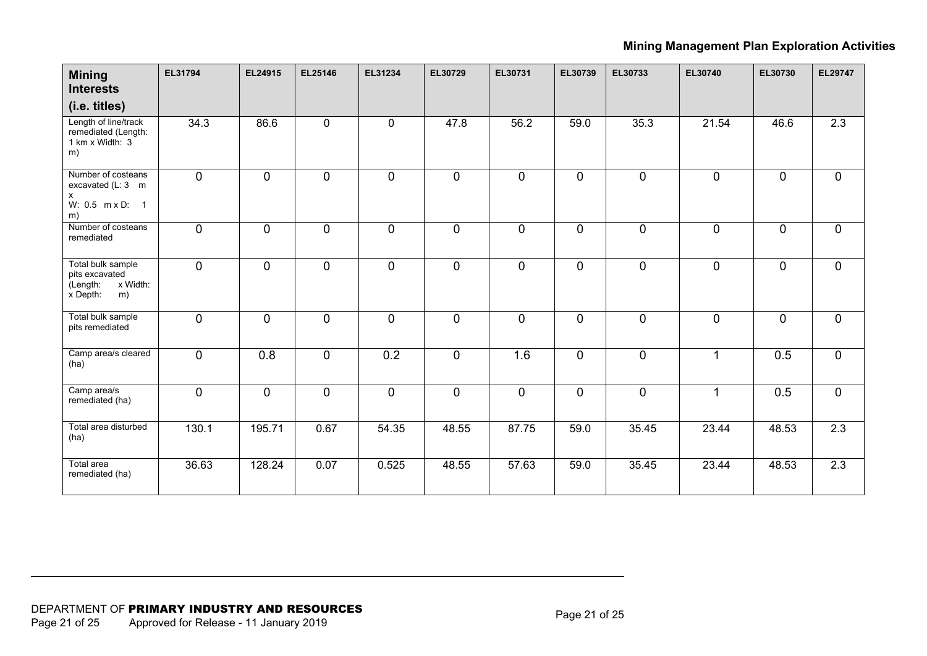| <b>Mining</b><br><b>Interests</b><br>(i.e. titles)                            | EL31794        | EL24915        | EL25146        | EL31234      | EL30729        | EL30731      | EL30739      | EL30733      | EL30740              | EL30730        | EL29747          |
|-------------------------------------------------------------------------------|----------------|----------------|----------------|--------------|----------------|--------------|--------------|--------------|----------------------|----------------|------------------|
| Length of line/track<br>remediated (Length:<br>1 km x Width: 3<br>m)          | 34.3           | 86.6           | $\mathbf 0$    | $\mathbf 0$  | 47.8           | 56.2         | 59.0         | 35.3         | 21.54                | 46.6           | 2.3              |
| Number of costeans<br>excavated (L: 3 m<br>x<br>W: 0.5 m x D: 1<br>m)         | $\overline{0}$ | $\overline{0}$ | $\overline{0}$ | $\mathbf 0$  | $\overline{0}$ | $\mathbf 0$  | $\mathbf 0$  | $\mathbf 0$  | $\overline{0}$       | $\mathbf 0$    | $\overline{0}$   |
| Number of costeans<br>remediated                                              | $\mathbf{0}$   | $\overline{0}$ | $\mathbf 0$    | $\mathbf{0}$ | $\overline{0}$ | $\mathbf{0}$ | $\mathbf 0$  | $\mathbf{0}$ | $\Omega$             | $\overline{0}$ | $\mathbf 0$      |
| Total bulk sample<br>pits excavated<br>x Width:<br>(Length:<br>x Depth:<br>m) | $\mathbf 0$    | $\overline{0}$ | $\mathbf 0$    | $\mathbf 0$  | $\overline{0}$ | $\mathbf 0$  | $\mathbf 0$  | $\mathbf 0$  | $\mathbf 0$          | $\mathbf 0$    | 0                |
| Total bulk sample<br>pits remediated                                          | $\mathbf 0$    | $\overline{0}$ | $\mathbf 0$    | $\mathbf 0$  | $\mathbf 0$    | $\mathbf 0$  | $\mathbf 0$  | $\mathbf 0$  | $\Omega$             | $\mathbf 0$    | 0                |
| Camp area/s cleared<br>(ha)                                                   | $\mathbf 0$    | 0.8            | $\mathbf 0$    | 0.2          | $\overline{0}$ | 1.6          | $\mathbf{0}$ | $\mathbf 0$  | $\blacktriangleleft$ | 0.5            | $\overline{0}$   |
| Camp area/s<br>remediated (ha)                                                | $\mathbf 0$    | $\overline{0}$ | $\mathbf 0$    | $\mathbf 0$  | $\mathbf 0$    | $\mathbf 0$  | $\mathbf{0}$ | $\mathbf 0$  | 1                    | 0.5            | $\mathbf 0$      |
| Total area disturbed<br>(ha)                                                  | 130.1          | 195.71         | 0.67           | 54.35        | 48.55          | 87.75        | 59.0         | 35.45        | 23.44                | 48.53          | $\overline{2.3}$ |
| Total area<br>remediated (ha)                                                 | 36.63          | 128.24         | 0.07           | 0.525        | 48.55          | 57.63        | 59.0         | 35.45        | 23.44                | 48.53          | 2.3              |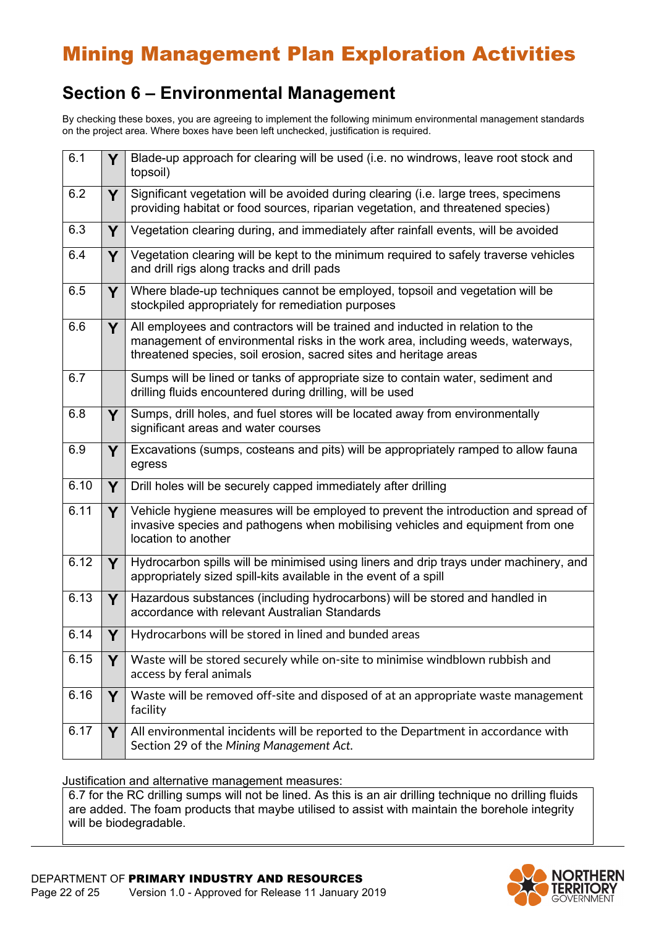## **Section 6 – Environmental Management**

By checking these boxes, you are agreeing to implement the following minimum environmental management standards on the project area. Where boxes have been left unchecked, justification is required.

| $\overline{6.1}$ | Y  | Blade-up approach for clearing will be used (i.e. no windrows, leave root stock and<br>topsoil)                                                                                                                                       |
|------------------|----|---------------------------------------------------------------------------------------------------------------------------------------------------------------------------------------------------------------------------------------|
| 6.2              | Y  | Significant vegetation will be avoided during clearing (i.e. large trees, specimens<br>providing habitat or food sources, riparian vegetation, and threatened species)                                                                |
| 6.3              | Y  | Vegetation clearing during, and immediately after rainfall events, will be avoided                                                                                                                                                    |
| 6.4              | Y  | Vegetation clearing will be kept to the minimum required to safely traverse vehicles<br>and drill rigs along tracks and drill pads                                                                                                    |
| 6.5              | Y  | Where blade-up techniques cannot be employed, topsoil and vegetation will be<br>stockpiled appropriately for remediation purposes                                                                                                     |
| 6.6              | Y  | All employees and contractors will be trained and inducted in relation to the<br>management of environmental risks in the work area, including weeds, waterways,<br>threatened species, soil erosion, sacred sites and heritage areas |
| 6.7              |    | Sumps will be lined or tanks of appropriate size to contain water, sediment and<br>drilling fluids encountered during drilling, will be used                                                                                          |
| 6.8              | Y  | Sumps, drill holes, and fuel stores will be located away from environmentally<br>significant areas and water courses                                                                                                                  |
| 6.9              | Y  | Excavations (sumps, costeans and pits) will be appropriately ramped to allow fauna<br>egress                                                                                                                                          |
| 6.10             | Y  | Drill holes will be securely capped immediately after drilling                                                                                                                                                                        |
| 6.11             | Y  | Vehicle hygiene measures will be employed to prevent the introduction and spread of<br>invasive species and pathogens when mobilising vehicles and equipment from one<br>location to another                                          |
| 6.12             | Y. | Hydrocarbon spills will be minimised using liners and drip trays under machinery, and<br>appropriately sized spill-kits available in the event of a spill                                                                             |
| 6.13             | Y  | Hazardous substances (including hydrocarbons) will be stored and handled in<br>accordance with relevant Australian Standards                                                                                                          |
| 6.14             | Y  | Hydrocarbons will be stored in lined and bunded areas                                                                                                                                                                                 |
| 6.15             | Y  | Waste will be stored securely while on-site to minimise windblown rubbish and<br>access by feral animals                                                                                                                              |
| 6.16             | Y  | Waste will be removed off-site and disposed of at an appropriate waste management<br>facility                                                                                                                                         |
| 6.17             | Y  | All environmental incidents will be reported to the Department in accordance with<br>Section 29 of the Mining Management Act.                                                                                                         |

Justification and alternative management measures:

6.7 for the RC drilling sumps will not be lined. As this is an air drilling technique no drilling fluids are added. The foam products that maybe utilised to assist with maintain the borehole integrity will be biodegradable.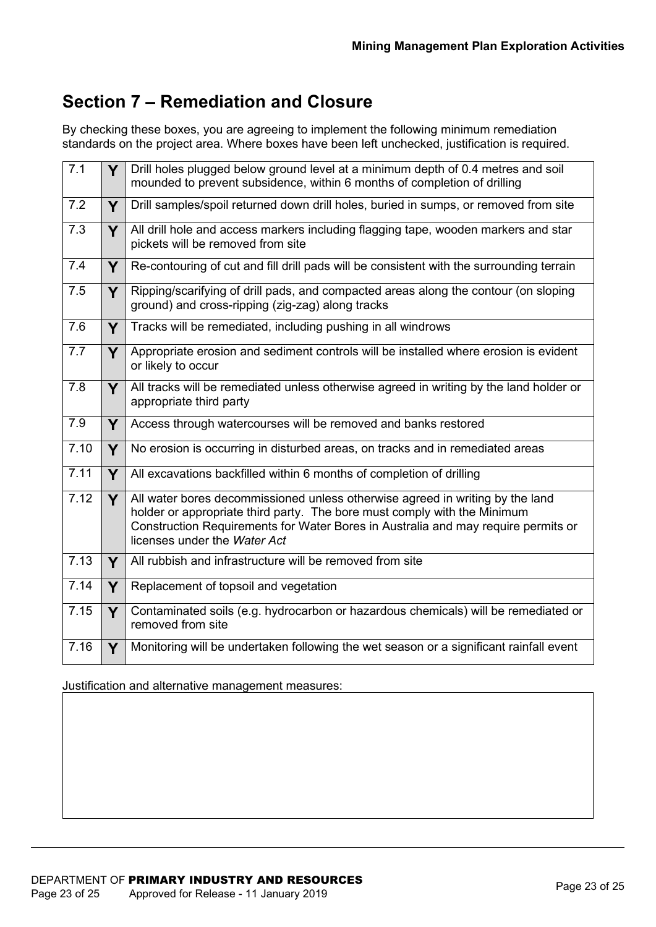## **Section 7 – Remediation and Closure**

By checking these boxes, you are agreeing to implement the following minimum remediation standards on the project area. Where boxes have been left unchecked, justification is required.

| 7.1  | Y | Drill holes plugged below ground level at a minimum depth of 0.4 metres and soil<br>mounded to prevent subsidence, within 6 months of completion of drilling                                                                                                                   |
|------|---|--------------------------------------------------------------------------------------------------------------------------------------------------------------------------------------------------------------------------------------------------------------------------------|
| 7.2  | Y | Drill samples/spoil returned down drill holes, buried in sumps, or removed from site                                                                                                                                                                                           |
| 7.3  | Y | All drill hole and access markers including flagging tape, wooden markers and star<br>pickets will be removed from site                                                                                                                                                        |
| 7.4  | Y | Re-contouring of cut and fill drill pads will be consistent with the surrounding terrain                                                                                                                                                                                       |
| 7.5  | Y | Ripping/scarifying of drill pads, and compacted areas along the contour (on sloping<br>ground) and cross-ripping (zig-zag) along tracks                                                                                                                                        |
| 7.6  | Y | Tracks will be remediated, including pushing in all windrows                                                                                                                                                                                                                   |
| 7.7  | Y | Appropriate erosion and sediment controls will be installed where erosion is evident<br>or likely to occur                                                                                                                                                                     |
| 7.8  | Y | All tracks will be remediated unless otherwise agreed in writing by the land holder or<br>appropriate third party                                                                                                                                                              |
| 7.9  | Y | Access through watercourses will be removed and banks restored                                                                                                                                                                                                                 |
| 7.10 | Y | No erosion is occurring in disturbed areas, on tracks and in remediated areas                                                                                                                                                                                                  |
| 7.11 | Y | All excavations backfilled within 6 months of completion of drilling                                                                                                                                                                                                           |
| 7.12 | Y | All water bores decommissioned unless otherwise agreed in writing by the land<br>holder or appropriate third party. The bore must comply with the Minimum<br>Construction Requirements for Water Bores in Australia and may require permits or<br>licenses under the Water Act |
| 7.13 | Y | All rubbish and infrastructure will be removed from site                                                                                                                                                                                                                       |
| 7.14 | Y | Replacement of topsoil and vegetation                                                                                                                                                                                                                                          |
| 7.15 | Y | Contaminated soils (e.g. hydrocarbon or hazardous chemicals) will be remediated or<br>removed from site                                                                                                                                                                        |
| 7.16 | Y | Monitoring will be undertaken following the wet season or a significant rainfall event                                                                                                                                                                                         |

#### Justification and alternative management measures: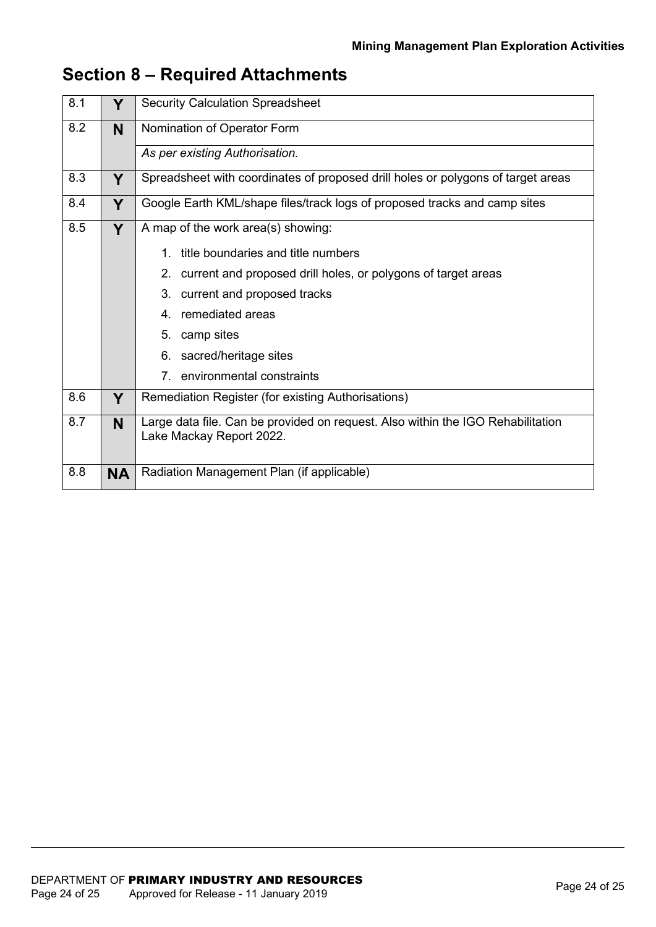| 8.1 | Y         | <b>Security Calculation Spreadsheet</b>                                                                     |  |  |  |  |  |  |
|-----|-----------|-------------------------------------------------------------------------------------------------------------|--|--|--|--|--|--|
| 8.2 | N         | Nomination of Operator Form                                                                                 |  |  |  |  |  |  |
|     |           | As per existing Authorisation.                                                                              |  |  |  |  |  |  |
| 8.3 | Y         | Spreadsheet with coordinates of proposed drill holes or polygons of target areas                            |  |  |  |  |  |  |
| 8.4 | Y         | Google Earth KML/shape files/track logs of proposed tracks and camp sites                                   |  |  |  |  |  |  |
| 8.5 | Y         | A map of the work area(s) showing:                                                                          |  |  |  |  |  |  |
|     |           | title boundaries and title numbers<br>1.                                                                    |  |  |  |  |  |  |
|     |           | current and proposed drill holes, or polygons of target areas<br>2.                                         |  |  |  |  |  |  |
|     |           | 3. current and proposed tracks                                                                              |  |  |  |  |  |  |
|     |           | 4. remediated areas                                                                                         |  |  |  |  |  |  |
|     |           | 5.<br>camp sites                                                                                            |  |  |  |  |  |  |
|     |           | sacred/heritage sites<br>6.                                                                                 |  |  |  |  |  |  |
|     |           | 7. environmental constraints                                                                                |  |  |  |  |  |  |
| 8.6 | Y         | Remediation Register (for existing Authorisations)                                                          |  |  |  |  |  |  |
| 8.7 | N         | Large data file. Can be provided on request. Also within the IGO Rehabilitation<br>Lake Mackay Report 2022. |  |  |  |  |  |  |
|     |           |                                                                                                             |  |  |  |  |  |  |
| 8.8 | <b>NA</b> | Radiation Management Plan (if applicable)                                                                   |  |  |  |  |  |  |

## **Section 8 – Required Attachments**